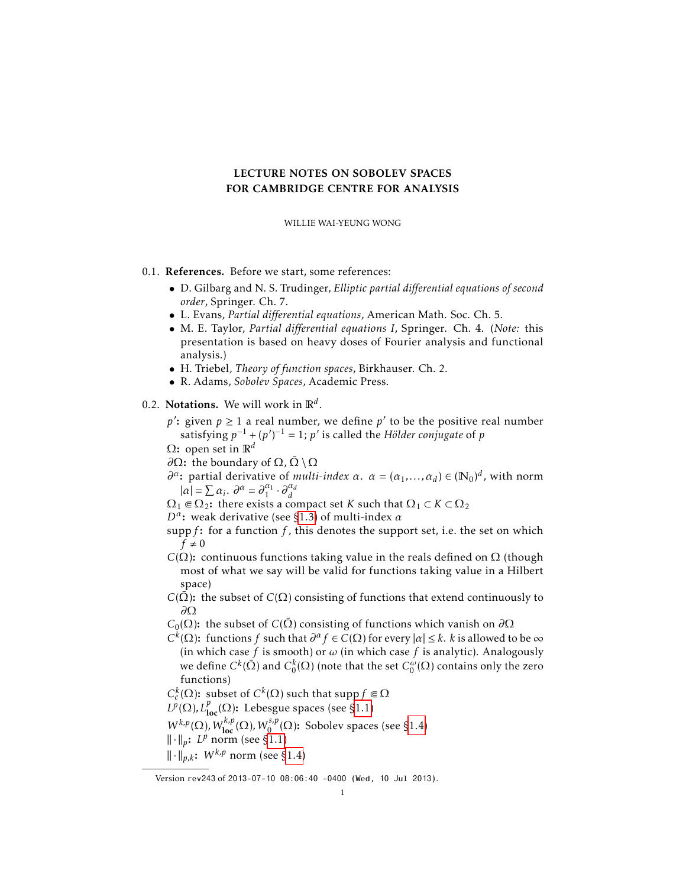# LECTURE NOTES ON SOBOLEV SPACES FOR CAMBRIDGE CENTRE FOR ANALYSIS

WILLIE WAI-YEUNG WONG

# 0.1. References. Before we start, some references:

- D. Gilbarg and N. S. Trudinger, *Elliptic partial differential equations of second order*, Springer. Ch. 7.
- L. Evans, *Partial differential equations*, American Math. Soc. Ch. 5.
- M. E. Taylor, *Partial differential equations I*, Springer. Ch. 4. (*Note:* this presentation is based on heavy doses of Fourier analysis and functional analysis.)
- H. Triebel, *Theory of function spaces*, Birkhauser. Ch. 2.
- R. Adams, *Sobolev Spaces*, Academic Press.
- 0.2. Notations. We will work in R*<sup>d</sup>* .
	- $p'$ : given  $p \ge 1$  a real number, we define  $p'$  to be the positive real number satisfying  $p^{-1} + (p')^{-1} = 1$ ;  $p'$  is called the *Hölder conjugate* of  $p$
	- Ω: open set in R*<sup>d</sup>*
	- *∂*Ω: the boundary of Ω,  $\overline{\Omega} \setminus \Omega$
	- *∂*<sup>*α*</sup>: partial derivative of *multi-index α*. *α* = (*α*<sub>1</sub>,...,*α*<sub>*d*</sub>) ∈ ( $\mathbb{N}_0$ )<sup>*d*</sup>, with norm  $|\alpha| = \sum \alpha_i$ .  $\partial^{\alpha} = \partial_1^{\alpha_1} \cdot \partial_d^{\alpha_d}$
	- $\Omega_1 \in \Omega_2$ : there exists a compact set *K* such that  $\Omega_1 \subset K \subset \Omega_2$
	- *D<sup>α</sup>* : weak derivative (see [§1.3\)](#page-6-0) of multi-index *α*
	- supp*f* : for a function *f* , this denotes the support set, i.e. the set on which  $f \neq 0$
	- *C*( $\Omega$ ): continuous functions taking value in the reals defined on  $\Omega$  (though most of what we say will be valid for functions taking value in a Hilbert space)
	- *C*( $\overline{\Omega}$ ): the subset of *C*( $\Omega$ ) consisting of functions that extend continuously to *∂*Ω
	- *C*<sub>0</sub>(Ω): the subset of *C*( $\overline{\Omega}$ ) consisting of functions which vanish on  $\partial\Omega$
	- *C*<sup>*k*</sup>(Ω): functions *f* such that  $∂<sup>α</sup> f ∈ C(Ω)$  for every  $|α| ≤ k$ . *k* is allowed to be ∞ (in which case *f* is smooth) or *ω* (in which case *f* is analytic). Analogously we define  $C^k(\bar{\Omega})$  and  $C^k_0(\Omega)$  (note that the set  $C^\omega_0(\Omega)$  contains only the zero functions)
	- $C_c^k(\Omega)$ : subset of  $C^k(\Omega)$  such that supp  $f \in \Omega$
	- $L^p(\Omega)$ ,  $L^p_{loc}(\Omega)$ : Lebesgue spaces (see [§1.1\)](#page-1-0)
	- $W^{k,p}(\Omega)$ *, W*<sub>loc</sub> ( $\Omega$ )*, W*<sub>0</sub><sup>*s,p*</sup>( $\Omega$ ): Sobolev spaces (see [§1.4\)](#page-7-0)
	- $\|\cdot\|_p$ : *L<sup>p</sup>* norm (see [§1.1\)](#page-1-0)
	- $\|\cdot\|_{p,k}$ : *W<sup>k,p</sup>* norm (see [§1.4\)](#page-7-0)

Version rev243 of 2013-07-10 08:06:40 -0400 (Wed, 10 Jul 2013).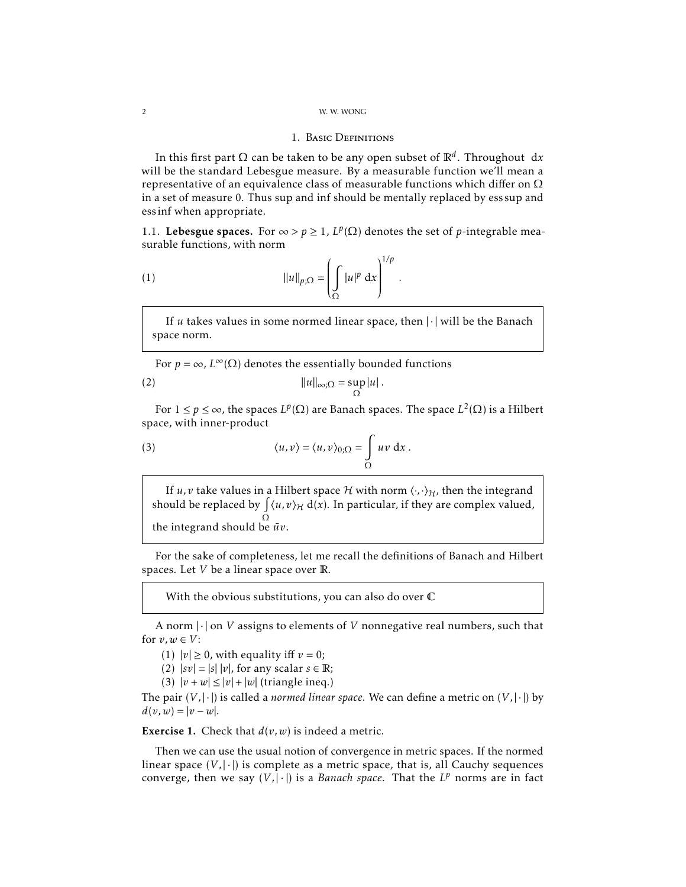### 1. Basic Definitions

In this first part Ω can be taken to be any open subset of R*<sup>d</sup>* . Throughout d*x* will be the standard Lebesgue measure. By a measurable function we'll mean a representative of an equivalence class of measurable functions which differ on  $\Omega$ in a set of measure 0. Thus sup and inf should be mentally replaced by ess sup and ess inf when appropriate.

<span id="page-1-0"></span>1.1. **Lebesgue spaces.** For ∞ >  $p$  ≥ 1,  $L^p(\Omega)$  denotes the set of *p*-integrable measurable functions, with norm

<span id="page-1-2"></span>*.*

(1) 
$$
||u||_{p;\Omega} = \left(\int_{\Omega} |u|^p dx\right)^{1/p}
$$

If *u* takes values in some normed linear space, then | · | will be the Banach space norm.

For  $p = \infty$ ,  $L^{\infty}(\Omega)$  denotes the essentially bounded functions |*u*| *.*

$$
||u||_{\infty;\Omega} = \sup_{\Omega} |u|.
$$

For  $1 ≤ p ≤ ∞$ , the spaces  $L^p(Ω)$  are Banach spaces. The space  $L^2(Ω)$  is a Hilbert space, with inner-product

(3) 
$$
\langle u, v \rangle = \langle u, v \rangle_{0; \Omega} = \int_{\Omega} uv \, dx.
$$

<span id="page-1-1"></span>If *u*, *v* take values in a Hilbert space H with norm  $\langle \cdot, \cdot \rangle_H$ , then the integrand should be replaced by  $\int \langle u, v \rangle_{\mathcal{H}} d(x)$ . In particular, if they are complex valued, Ω the integrand should be *uv*¯ .

For the sake of completeness, let me recall the definitions of Banach and Hilbert spaces. Let *V* be a linear space over R.

With the obvious substitutions, you can also do over C

A norm | · | on *V* assigns to elements of *V* nonnegative real numbers, such that for  $v, w \in V$ :

(1)  $|v| \ge 0$ , with equality iff  $v = 0$ ;

(2)  $|sv| = |s| |v|$ , for any scalar  $s \in \mathbb{R}$ ;

(3)  $|v + w| \le |v| + |w|$  (triangle ineq.)

The pair  $(V,|\cdot|)$  is called a *normed linear space*. We can define a metric on  $(V,|\cdot|)$  by  $d(v, w) = |v - w|$ .

**Exercise 1.** Check that  $d(v, w)$  is indeed a metric.

Then we can use the usual notion of convergence in metric spaces. If the normed linear space  $(V,|\cdot|)$  is complete as a metric space, that is, all Cauchy sequences converge, then we say  $(V, |\cdot|)$  is a *Banach space*. That the  $L^p$  norms are in fact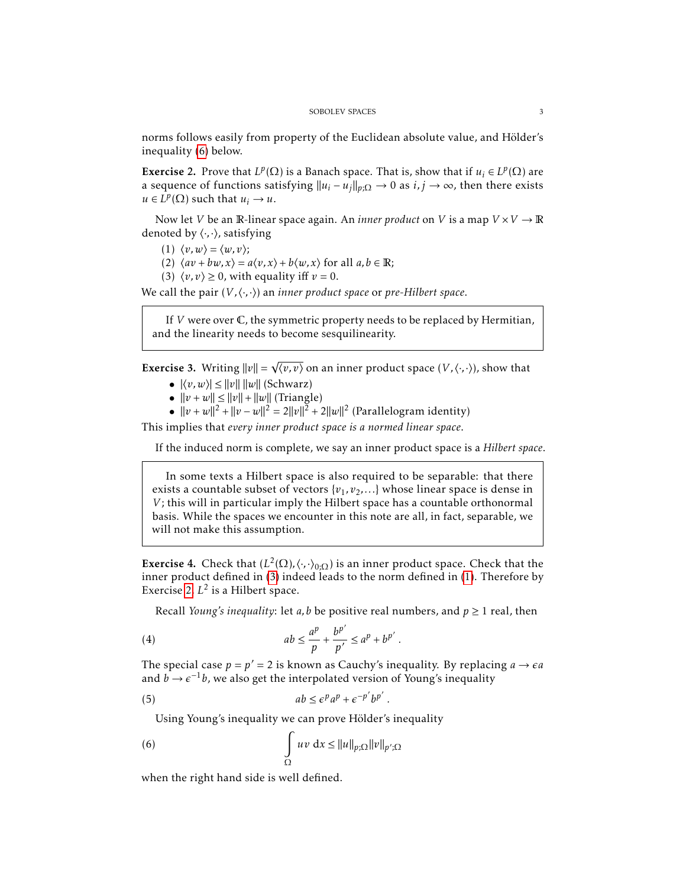norms follows easily from property of the Euclidean absolute value, and Hölder's inequality [\(6\)](#page-2-0) below.

<span id="page-2-1"></span>**Exercise 2.** Prove that  $L^p(\Omega)$  is a Banach space. That is, show that if  $u_i \in L^p(\Omega)$  are a sequence of functions satisfying  $||u_i - u_j||_{p,\Omega} \to 0$  as  $i, j \to \infty$ , then there exists  $u \in L^p(\Omega)$  such that  $u_i \to u$ .

Now let *V* be an R-linear space again. An *inner product* on *V* is a map  $V \times V \rightarrow \mathbb{R}$ denoted by  $\langle \cdot, \cdot \rangle$ *,* satisfying

- (1)  $\langle v, w \rangle = \langle w, v \rangle$ ;
- (2)  $\langle av + bw, x \rangle = a \langle v, x \rangle + b \langle w, x \rangle$  for all  $a, b \in \mathbb{R}$ ;

√

(3)  $\langle v, v \rangle \ge 0$ , with equality iff  $v = 0$ .

We call the pair  $(V, \langle \cdot, \cdot \rangle)$  an *inner product space* or *pre-Hilbert space*.

If *V* were over C, the symmetric property needs to be replaced by Hermitian, and the linearity needs to become sesquilinearity.

**Exercise 3.** Writing  $||v|| = \sqrt{\langle v, v \rangle}$  on an inner product space  $(V, \langle \cdot, \cdot \rangle)$ , show that

- $|\langle v, w \rangle| \le ||v|| \, ||w||$  (Schwarz)
- $||v + w|| \le ||v|| + ||w||$  (Triangle)
- $||v + w||^2 + ||v w||^2 = 2||v||^2 + 2||w||^2$  (Parallelogram identity)

This implies that *every inner product space is a normed linear space*.

If the induced norm is complete, we say an inner product space is a *Hilbert space*.

In some texts a Hilbert space is also required to be separable: that there exists a countable subset of vectors  $\{v_1, v_2, \ldots\}$  whose linear space is dense in *V*; this will in particular imply the Hilbert space has a countable orthonormal basis. While the spaces we encounter in this note are all, in fact, separable, we will not make this assumption.

**Exercise 4.** Check that  $(L^2(\Omega), \langle \cdot, \cdot \rangle_{0;\Omega})$  is an inner product space. Check that the inner product defined in [\(3\)](#page-1-1) indeed leads to the norm defined in [\(1\)](#page-1-2). Therefore by Exercise [2,](#page-2-1)  $L^2$  is a Hilbert space.

Recall *Young's inequality*: let *a*, *b* be positive real numbers, and  $p \ge 1$  real, then

(4) 
$$
ab \leq \frac{a^p}{p} + \frac{b^{p'}}{p'} \leq a^p + b^{p'}.
$$

The special case  $p = p' = 2$  is known as Cauchy's inequality. By replacing  $a \rightarrow \epsilon a$ and  $b \rightarrow \epsilon^{-1}b$ , we also get the interpolated version of Young's inequality

<span id="page-2-0"></span>*.*

$$
(5) \t\t\t ab \leq \epsilon^p a^p + \epsilon^{-p'} b^{p'}
$$

Using Young's inequality we can prove Hölder's inequality

(6) 
$$
\int_{\Omega} uv \, dx \leq ||u||_{p;\Omega} ||v||_{p';\Omega}
$$

when the right hand side is well defined.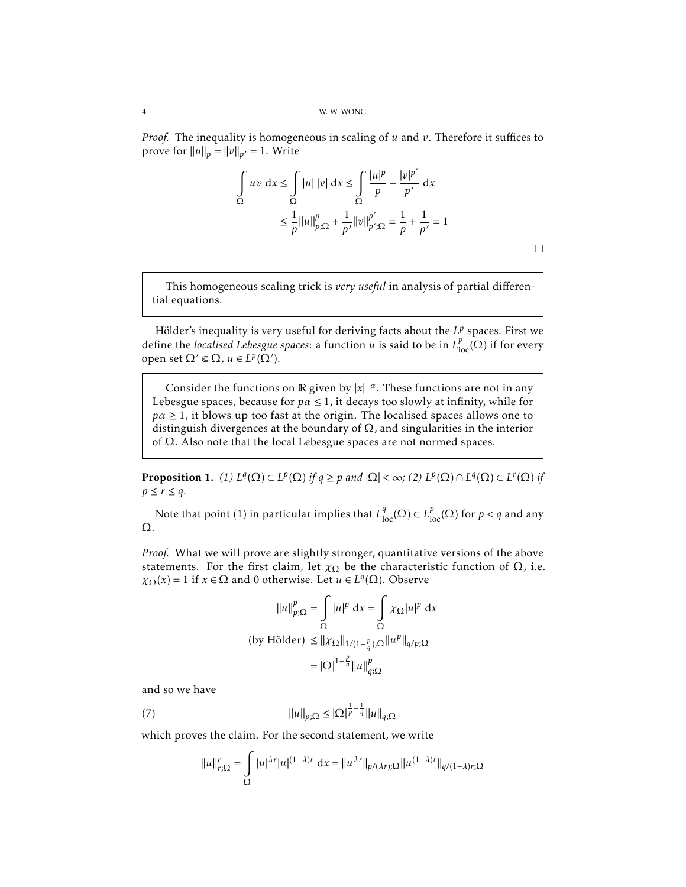*Proof.* The inequality is homogeneous in scaling of *u* and *v*. Therefore it suffices to prove for  $||u||_p = ||v||_{p'} = 1$ . Write

$$
\int_{\Omega} uv \, dx \le \int_{\Omega} |u| \, |v| \, dx \le \int_{\Omega} \frac{|u|^p}{p} + \frac{|v|^{p'}}{p'} \, dx
$$
  

$$
\le \frac{1}{p} ||u||_{p;\Omega}^p + \frac{1}{p'} ||v||_{p';\Omega}^{p'} = \frac{1}{p} + \frac{1}{p'} = 1
$$

 $\Box$ 

This homogeneous scaling trick is *very useful* in analysis of partial differential equations.

Hölder's inequality is very useful for deriving facts about the  $L^p$  spaces. First we define the *localised Lebesgue spaces*: a function *u* is said to be in  $L_{loc}^{p}(\Omega)$  if for every open set Ω' ∈ Ω, *u* ∈ *L*<sup>*p*</sup>(Ω').

Consider the functions on  $\mathbb R$  given by  $|x|^{-\alpha}$ . These functions are not in any Lebesgue spaces, because for  $p \alpha \leq 1$ , it decays too slowly at infinity, while for  $p\alpha \geq 1$ , it blows up too fast at the origin. The localised spaces allows one to distinguish divergences at the boundary of  $\Omega$ , and singularities in the interior of Ω. Also note that the local Lebesgue spaces are not normed spaces.

<span id="page-3-0"></span>**Proposition 1.** *(1)*  $L^q(\Omega) \subset L^p(\Omega)$  *if*  $q \geq p$  *and*  $|\Omega| < \infty$ ; *(2)*  $L^p(\Omega) \cap L^q(\Omega) \subset L^r(\Omega)$  *if*  $p \leq r \leq q$ .

Note that point (1) in particular implies that  $L^q_{\text{loc}}(\Omega) \subset L^p_{\text{loc}}(\Omega)$  for  $p < q$  and any Ω.

*Proof.* What we will prove are slightly stronger, quantitative versions of the above statements. For the first claim, let  $\chi_{\Omega}$  be the characteristic function of  $\Omega$ , i.e.  $\chi_{\Omega}(x) = 1$  if  $x \in \Omega$  and 0 otherwise. Let  $u \in L^q(\Omega)$ . Observe

$$
||u||_{p;\Omega}^p = \int_{\Omega} |u|^p \, \mathrm{d}x = \int_{\Omega} \chi_{\Omega} |u|^p \, \mathrm{d}x
$$
  
(by Hölder)  $\leq ||\chi_{\Omega}||_{1/(1-\frac{p}{q});\Omega} ||u^p||_{q/p;\Omega}$   

$$
= |\Omega|^{1-\frac{p}{q}} ||u||_{q;\Omega}^p
$$

and so we have

(7)  $\|u\|_{p;\Omega} \leq |\Omega|^{\frac{1}{p}-\frac{1}{q}} \|u\|_{q;\Omega}$ 

which proves the claim. For the second statement, we write

$$
||u||_{r;\Omega}^r = \int_{\Omega} |u|^{\lambda r} |u|^{(1-\lambda)r} dx = ||u^{\lambda r}||_{p/(\lambda r);\Omega} ||u^{(1-\lambda)r}||_{q/(1-\lambda)r;\Omega}
$$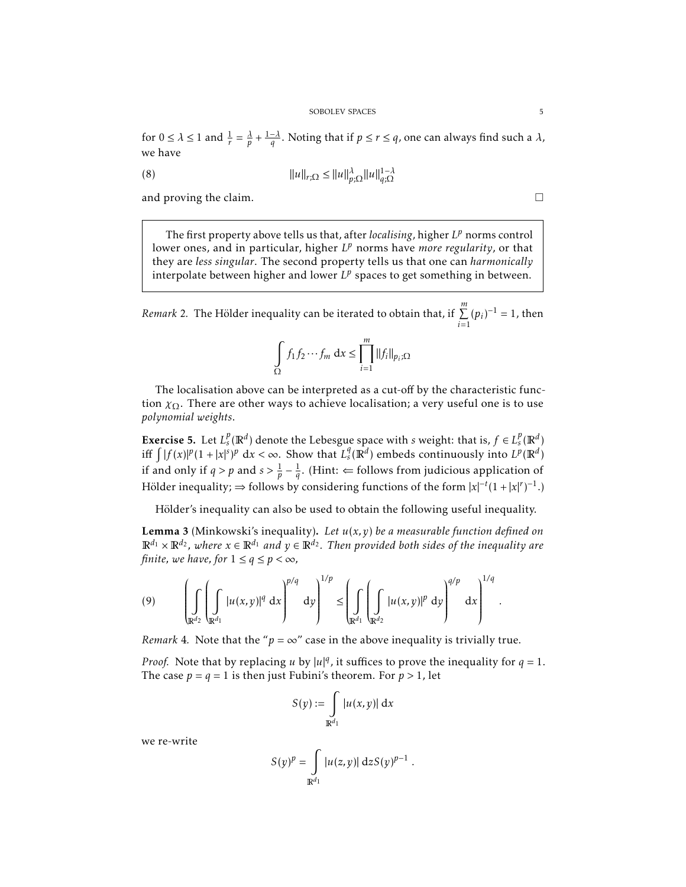for  $0 \le \lambda \le 1$  and  $\frac{1}{r} = \frac{\lambda}{p} + \frac{1-\lambda}{q}$ . Noting that if  $p \le r \le q$ , one can always find such a  $\lambda$ , we have

(8) 
$$
||u||_{r;\Omega} \le ||u||_{p;\Omega}^{\lambda} ||u||_{q;\Omega}^{1-\lambda}
$$

and proving the claim.

The first property above tells us that, after *localising*, higher *L <sup>p</sup>* norms control lower ones, and in particular, higher  $L^p$  norms have *more regularity*, or that they are *less singular*. The second property tells us that one can *harmonically* interpolate between higher and lower  $L^p$  spaces to get something in between.

<span id="page-4-0"></span>*Remark* 2. The Hölder inequality can be iterated to obtain that, if  $\sum_{n=1}^{m}$  $\sum_{i=1}^{m} (p_i)^{-1} = 1$ , then

$$
\int_{\Omega} f_1 f_2 \cdots f_m \, \mathrm{d}x \le \prod_{i=1}^m \|f_i\|_{p_i; \Omega}
$$

The localisation above can be interpreted as a cut-off by the characteristic function  $\chi_{\Omega}$ . There are other ways to achieve localisation; a very useful one is to use *polynomial weights*.

**Exercise 5.** Let  $L_s^p(\mathbb{R}^d)$  denote the Lebesgue space with *s* weight: that is,  $f \in L_s^p(\mathbb{R}^d)$ iff  $\int |f(x)|^p (1 + |x|^s)^p dx < \infty$ . Show that  $L_s^q(\mathbb{R}^d)$  embeds continuously into  $L^p(\mathbb{R}^d)$ if and only if  $q > p$  and  $s > \frac{1}{p} - \frac{1}{q}$ . (Hint:  $\Leftarrow$  follows from judicious application of Hölder inequality;  $\Rightarrow$  follows by considering functions of the form  $|x|^{-t}(1+|x|^r)^{-1}$ .)

Hölder's inequality can also be used to obtain the following useful inequality.

Lemma 3 (Minkowski's inequality). *Let u*(*x,y*) *be a measurable function defined on*  $\mathbb{R}^{d_1} \times \mathbb{R}^{d_2}$ , where  $x \in \mathbb{R}^{d_1}$  and  $y \in \mathbb{R}^{d_2}$ . Then provided both sides of the inequality are *finite, we have, for*  $1 \le q \le p < \infty$ *,* 

$$
(9) \qquad \left(\int\limits_{\mathbb{R}^{d_2}}\left(\int\limits_{\mathbb{R}^{d_1}}|u(x,y)|^q\ dx\right)^{p/q}\ dy\right)^{1/p}\leq\left(\int\limits_{\mathbb{R}^{d_1}}\left(\int\limits_{\mathbb{R}^{d_2}}|u(x,y)|^p\ dy\right)^{q/p}\ dx\right)^{1/q}\ .
$$

*Remark* 4*.* Note that the " $p = \infty$ " case in the above inequality is trivially true.

*Proof.* Note that by replacing *u* by  $|u|^q$ , it suffices to prove the inequality for  $q = 1$ . The case  $p = q = 1$  is then just Fubini's theorem. For  $p > 1$ , let

$$
S(y) := \int_{\mathbb{R}^{d_1}} |u(x, y)| \, \mathrm{d}x
$$

we re-write

$$
S(y)^p = \int_{\mathbb{R}^{d_1}} |u(z, y)| \, dz S(y)^{p-1} .
$$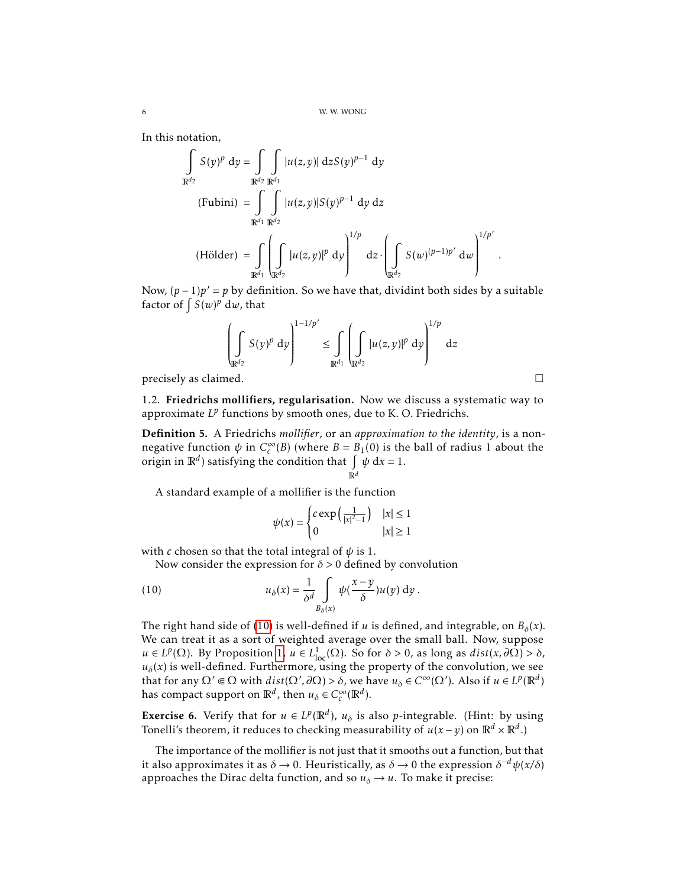In this notation,

$$
\int_{\mathbb{R}^{d_2}} S(y)^p \, dy = \int_{\mathbb{R}^{d_2}} \int_{\mathbb{R}^{d_1}} |u(z, y)| \, dz S(y)^{p-1} \, dy
$$
\n(Fubini) = 
$$
\int_{\mathbb{R}^{d_1}} \int_{\mathbb{R}^{d_2}} |u(z, y)| S(y)^{p-1} \, dy \, dz
$$
\n(Hölder) = 
$$
\int_{\mathbb{R}^{d_1}} \left( \int_{\mathbb{R}^{d_2}} |u(z, y)|^p \, dy \right)^{1/p} \, dz \cdot \left( \int_{\mathbb{R}^{d_2}} S(w)^{(p-1)p'} \, dw \right)^{1/p'}
$$

Now,  $(p-1)p' = p$  by definition. So we have that, dividint both sides by a suitable factor of  $\int S(w)^p dw$ , that

$$
\left(\int\limits_{\mathbb{R}^{d_2}} S(y)^p dy\right)^{1-1/p'} \leq \int\limits_{\mathbb{R}^{d_1}} \left(\int\limits_{\mathbb{R}^{d_2}} |u(z,y)|^p dy\right)^{1/p} dz
$$

*.*

 $\Box$  precisely as claimed.  $\Box$ 

1.2. Friedrichs mollifiers, regularisation. Now we discuss a systematic way to approximate L<sup>p</sup> functions by smooth ones, due to K. O. Friedrichs.

Definition 5. A Friedrichs *mollifier*, or an *approximation to the identity*, is a nonnegative function *ψ* in *C* ∞  $c^{\infty}(B)$  (where *B* = *B*<sub>1</sub>(0) is the ball of radius 1 about the origin in  $\mathbb{R}^d$ ) satisfying the condition that  $\int \psi \, dx = 1$ . R*d*

A standard example of a mollifier is the function

<span id="page-5-0"></span>
$$
\psi(x) = \begin{cases} c \exp\left(\frac{1}{|x|^2 - 1}\right) & |x| \le 1 \\ 0 & |x| \ge 1 \end{cases}
$$

with *c* chosen so that the total integral of *ψ* is 1.

Now consider the expression for *δ >* 0 defined by convolution

(10) 
$$
u_{\delta}(x) = \frac{1}{\delta^d} \int\limits_{B_{\delta}(x)} \psi(\frac{x-y}{\delta}) u(y) \, dy.
$$

The right hand side of [\(10\)](#page-5-0) is well-defined if *u* is defined, and integrable, on  $B_\delta(x)$ . We can treat it as a sort of weighted average over the small ball. Now, suppose  $u \in L^p(\Omega)$ . By Proposition [1,](#page-3-0)  $u \in L^1_{loc}(\Omega)$ . So for  $\delta > 0$ , as long as  $dist(x, \partial \Omega) > \delta$ ,  $u_{\delta}(x)$  is well-defined. Furthermore, using the property of the convolution, we see that for any  $\Omega' \subseteq \Omega$  with  $dist(\Omega', \partial \Omega) > \delta$ , we have  $u_{\delta} \in C^{\infty}(\Omega')$ . Also if  $u \in L^p(\mathbb{R}^d)$ has compact support on  $\mathbb{R}^d$ , then  $u_\delta \in C_c^\infty$  $c^{\infty}(\mathbb{R}^d)$ .

**Exercise 6.** Verify that for  $u \in L^p(\mathbb{R}^d)$ ,  $u_\delta$  is also *p*-integrable. (Hint: by using Tonelli's theorem, it reduces to checking measurability of  $u(x - y)$  on  $\mathbb{R}^d \times \mathbb{R}^d$ .)

The importance of the mollifier is not just that it smooths out a function, but that it also approximates it as  $\delta \to 0$ . Heuristically, as  $\delta \to 0$  the expression  $\delta^{-d}\psi(x/\delta)$ approaches the Dirac delta function, and so  $u_\delta \to u$ . To make it precise: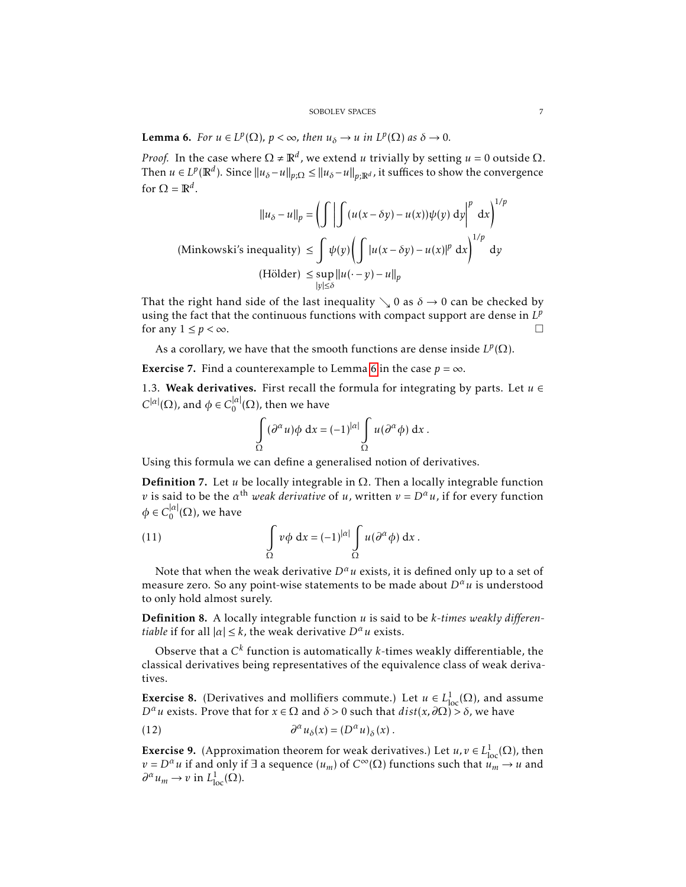<span id="page-6-1"></span>**Lemma 6.** *For*  $u \in L^p(\Omega)$ ,  $p < \infty$ , then  $u_\delta \to u$  in  $L^p(\Omega)$  as  $\delta \to 0$ .

*Proof.* In the case where  $\Omega \neq \mathbb{R}^d$ , we extend *u* trivially by setting  $u = 0$  outside  $\Omega$ . Then  $u \in L^p(\mathbb{R}^d)$ . Since  $||u_\delta - u||_{p;\Omega} \le ||u_\delta - u||_{p;\mathbb{R}^d}$ , it suffices to show the convergence for  $\Omega = \mathbb{R}^d$ .

$$
||u_{\delta} - u||_{p} = \left(\int \left| \int (u(x - \delta y) - u(x))\psi(y) \, dy \right|^{p} dx\right)^{1/p}
$$
  
(Minkowski's inequality) 
$$
\leq \int \psi(y) \left(\int |u(x - \delta y) - u(x)|^{p} dx\right)^{1/p} dy
$$
  
(Hölder) 
$$
\leq \sup_{|y| \leq \delta} ||u(\cdot - y) - u||_{p}
$$

That the right hand side of the last inequality  $\setminus$  0 as  $\delta \to 0$  can be checked by using the fact that the continuous functions with compact support are dense in  $L^p$ for any  $1 \le p < \infty$ .

As a corollary, we have that the smooth functions are dense inside  $L^p(\Omega)$ .

**Exercise** 7. Find a counterexample to Lemma [6](#page-6-1) in the case  $p = \infty$ .

<span id="page-6-0"></span>1.3. Weak derivatives. First recall the formula for integrating by parts. Let  $u \in$  $C^{|\alpha|}(\Omega)$ , and  $\phi \in C_0^{|\alpha|}$  $\binom{|\mathcal{U}|}{0}$ , then we have

$$
\int_{\Omega} (\partial^{\alpha} u) \phi \, dx = (-1)^{|\alpha|} \int_{\Omega} u (\partial^{\alpha} \phi) \, dx.
$$

Using this formula we can define a generalised notion of derivatives.

**Definition 7.** Let *u* be locally integrable in  $\Omega$ . Then a locally integrable function *v* is said to be the  $\alpha^{\text{th}}$  *weak derivative* of *u*, written  $v = D^{\alpha}u$ , if for every function  $\phi \in C_0^{|\alpha|}$  $\int_0^{\mu_l}$ ( $\Omega$ ), we have

(11) 
$$
\int_{\Omega} v \phi \ dx = (-1)^{|\alpha|} \int_{\Omega} u (\partial^{\alpha} \phi) \ dx.
$$

Note that when the weak derivative  $D^{\alpha}u$  exists, it is defined only up to a set of measure zero. So any point-wise statements to be made about  $D^{\alpha}u$  is understood to only hold almost surely.

Definition 8. A locally integrable function *u* is said to be *k-times weakly differentiable* if for all  $|\alpha| \leq k$ , the weak derivative  $D^{\alpha}u$  exists.

Observe that a  $C^k$  function is automatically  $k$ -times weakly differentiable, the classical derivatives being representatives of the equivalence class of weak derivatives.

**Exercise 8.** (Derivatives and mollifiers commute.) Let  $u \in L^1_{loc}(\Omega)$ , and assume *D<sup>α</sup>u* exists. Prove that for *x* ∈ Ω and *δ* > 0 such that *dist*(*x*, ∂Ω) > *δ*, we have

(12) 
$$
\partial^{\alpha} u_{\delta}(x) = (D^{\alpha} u)_{\delta}(x) .
$$

**Exercise 9.** (Approximation theorem for weak derivatives.) Let  $u, v \in L^1_{loc}(\Omega)$ , then  $v = D^{\alpha}u$  if and only if ∃ a sequence  $(u_m)$  of  $C^{\infty}(\Omega)$  functions such that  $u_m \to u$  and  $\partial^{\alpha} u_m \to v$  in  $L^1_{loc}(\Omega)$ .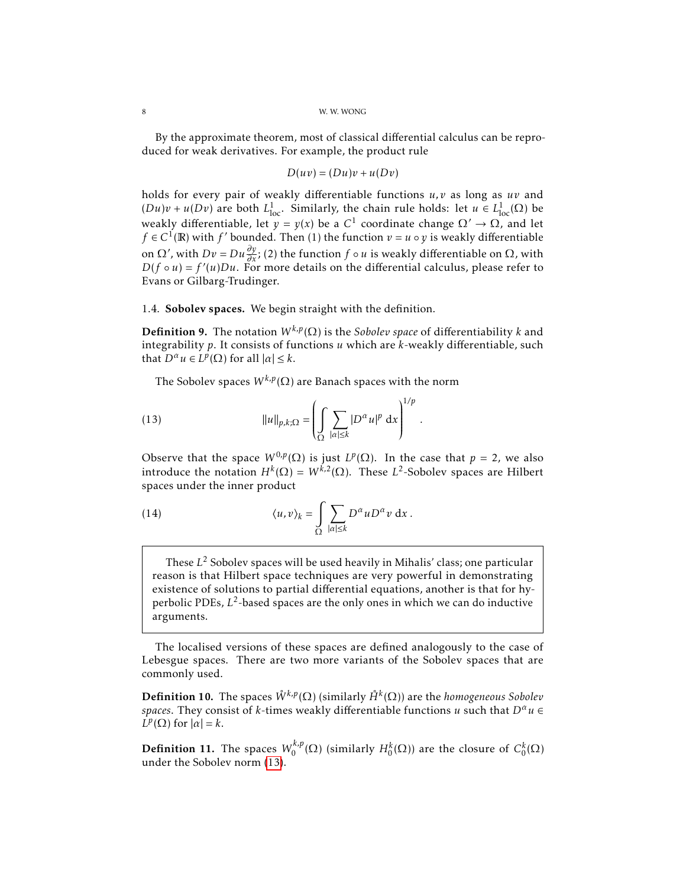By the approximate theorem, most of classical differential calculus can be reproduced for weak derivatives. For example, the product rule

$$
D(uv) = (Du)v + u(Dv)
$$

holds for every pair of weakly differentiable functions *u, v* as long as *uv* and  $(Du)v + u(Dv)$  are both  $L^1_{loc}$ . Similarly, the chain rule holds: let  $u \in L^1_{loc}(\Omega)$  be weakly differentiable, let  $y = y(x)$  be a  $C^1$  coordinate change  $\Omega' \to \Omega$ , and let *f* ∈ *C*<sup>1</sup>(**R**) with *f*' bounded. Then (1) the function *v* = *u* ◦ *y* is weakly differentiable on Ω', with *Dv* = *Du*  $\frac{\partial y}{\partial x}$ ; (2) the function *f* ∘ *u* is weakly differentiable on Ω, with  $D(f \circ u) = f'(u)Du$ . For more details on the differential calculus, please refer to Evans or Gilbarg-Trudinger.

### <span id="page-7-0"></span>1.4. Sobolev spaces. We begin straight with the definition.

<span id="page-7-2"></span>**Definition 9.** The notation  $W^{k,p}(\Omega)$  is the *Sobolev space* of differentiability *k* and integrability *p*. It consists of functions *u* which are *k*-weakly differentiable, such that  $D^{\alpha}u \in L^p(\Omega)$  for all  $|\alpha| \leq k$ .

<span id="page-7-1"></span>The Sobolev spaces  $W^{k,p}(\Omega)$  are Banach spaces with the norm

(13) 
$$
||u||_{p,k;\Omega} = \left(\int_{\Omega} \sum_{|\alpha| \leq k} |D^{\alpha} u|^p dx\right)^{1/p}.
$$

Observe that the space  $W^{0,p}(\Omega)$  is just  $L^p(\Omega)$ . In the case that  $p = 2$ , we also introduce the notation  $H^k(\Omega) = W^{k,2}(\Omega)$ . These  $L^2$ -Sobolev spaces are Hilbert spaces under the inner product

(14) 
$$
\langle u, v \rangle_k = \int_{\Omega} \sum_{|\alpha| \leq k} D^{\alpha} u D^{\alpha} v \, dx.
$$

These *L* <sup>2</sup> Sobolev spaces will be used heavily in Mihalis' class; one particular reason is that Hilbert space techniques are very powerful in demonstrating existence of solutions to partial differential equations, another is that for hyperbolic PDEs, *L* 2 -based spaces are the only ones in which we can do inductive arguments.

The localised versions of these spaces are defined analogously to the case of Lebesgue spaces. There are two more variants of the Sobolev spaces that are commonly used.

Definition 10. The spaces *W*˚ *k,p*(Ω) (similarly *H*˚ *<sup>k</sup>* (Ω)) are the *homogeneous Sobolev spaces*. They consist of *k*-times weakly differentiable functions *u* such that  $D^{\alpha}u \in$  $\hat{L}^p(\Omega)$  for  $|\alpha| = k$ .

<span id="page-7-3"></span>**Definition 11.** The spaces  $W_0^{k,p}$  $\mathcal{H}_0^{k,p}(\Omega)$  (similarly  $H_0^k(\Omega)$ ) are the closure of  $C_0^k(\Omega)$ under the Sobolev norm [\(13\)](#page-7-1).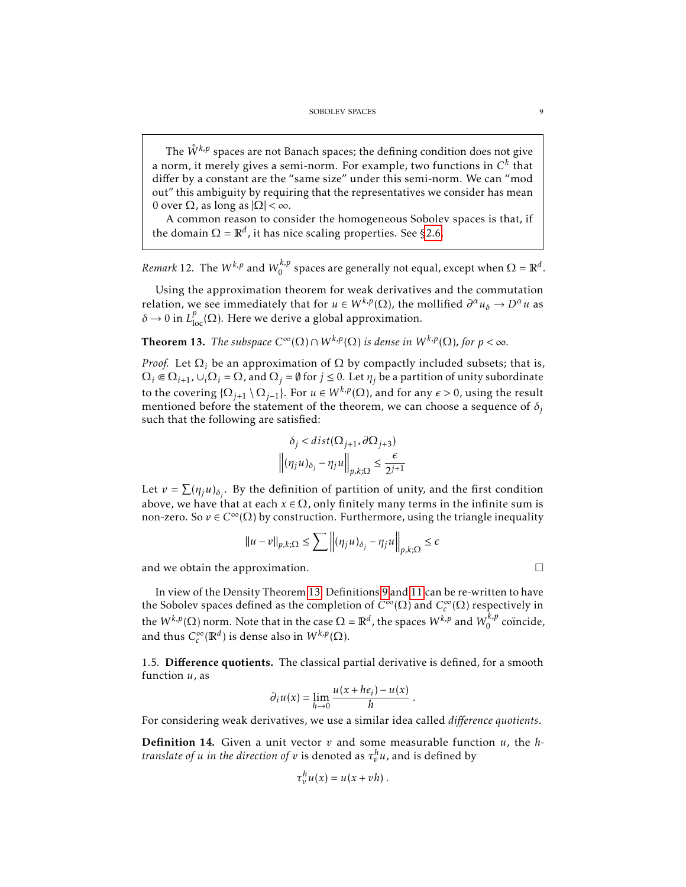The  $\ddot{W}^{k,p}$  spaces are not Banach spaces; the defining condition does not give a norm, it merely gives a semi-norm. For example, two functions in  $\mathsf{C}^k$  that differ by a constant are the "same size" under this semi-norm. We can "mod out" this ambiguity by requiring that the representatives we consider has mean 0 over Ω, as long as |Ω| *<* ∞.

A common reason to consider the homogeneous Sobolev spaces is that, if the domain  $\Omega = \mathbb{R}^d$ , it has nice scaling properties. See [§2.6.](#page-21-0)

*Remark* 12. The  $W^{k,p}$  and  $W^{k,p}_0$  $\int_0^{R,p}$  spaces are generally not equal, except when  $\Omega = \mathbb{R}^d$ .

Using the approximation theorem for weak derivatives and the commutation relation, we see immediately that for  $u \in W^{k,p}(\Omega)$ , the mollified  $\partial^{\alpha} u_{\delta} \to D^{\alpha} u$  as  $δ → 0$  in  $L^p_{loc}(\Omega)$ . Here we derive a global approximation.

<span id="page-8-0"></span>**Theorem 13.** *The subspace*  $C^{\infty}(\Omega) \cap W^{k,p}(\Omega)$  *is dense in*  $W^{k,p}(\Omega)$ *, for*  $p < \infty$ *.* 

*Proof.* Let  $\Omega_i$  be an approximation of  $\Omega$  by compactly included subsets; that is,  $\Omega_i \in \Omega_{i+1}$ ,  $\cup_i \Omega_i = \Omega$ , and  $\Omega_j = \emptyset$  for  $j \le 0$ . Let  $\eta_j$  be a partition of unity subordinate to the covering  $\{\Omega_{j+1} \setminus \Omega_{j-1}\}$ . For  $u \in W^{k,p}(\Omega)$ , and for any  $\epsilon > 0$ , using the result mentioned before the statement of the theorem, we can choose a sequence of  $\delta$ <sup>*j*</sup> such that the following are satisfied:

$$
\delta_j < dist(\Omega_{j+1}, \partial \Omega_{j+3})
$$
\n
$$
\left\| (\eta_j u)_{\delta_j} - \eta_j u \right\|_{p,k;\Omega} \le \frac{\epsilon}{2^{j+1}}
$$

Let  $v = \sum (\eta_j u)_{\delta_j}$ . By the definition of partition of unity, and the first condition above, we have that at each  $x \in \Omega$ , only finitely many terms in the infinite sum is non-zero. So *v* ∈  $C^{\infty}(\Omega)$  by construction. Furthermore, using the triangle inequality

$$
||u - v||_{p,k;\Omega} \le \sum \left\| (\eta_j u)_{\delta_j} - \eta_j u \right\|_{p,k;\Omega} \le \epsilon
$$

and we obtain the approximation.

In view of the Density Theorem [13,](#page-8-0) Definitions [9](#page-7-2) and [11](#page-7-3) can be re-written to have the Sobolev spaces defined as the completion of *C*<sup>∞</sup>(Ω) and *C*<sup>∞</sup> *c* (Ω) respectively in the  $W^{k,p}(\Omega)$  norm. Note that in the case  $\Omega = \mathbb{R}^d$ , the spaces  $W^{k,p}$  and  $W^{k,p}_0$  $\int_0^{t_{\gamma}p}$  coïncide, and thus  $C_c^{\infty}$  $\int_c^{\infty} (\mathbb{R}^d)$  is dense also in  $W^{k,p}(\Omega)$ .

1.5. Difference quotients. The classical partial derivative is defined, for a smooth function *u*, as

$$
\partial_i u(x) = \lim_{h \to 0} \frac{u(x + he_i) - u(x)}{h}
$$

*.*

For considering weak derivatives, we use a similar idea called *difference quotients*.

Definition 14. Given a unit vector *v* and some measurable function *u*, the *htranslate of u in the direction of*  $v$  *is denoted as*  $\tau_v^h u$ *, and is defined by* 

$$
\tau_v^h u(x) = u(x + vh).
$$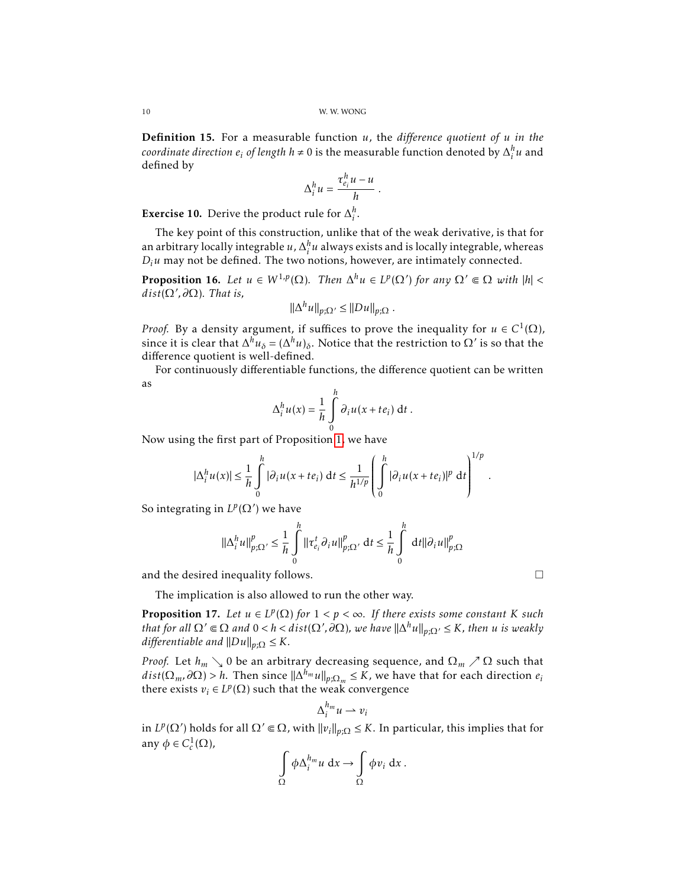Definition 15. For a measurable function *u*, the *difference quotient of u in the coordinate direction*  $e_i$  *of length*  $h \neq 0$  is the measurable function denoted by  $\Delta_i^h u$  and defined by

$$
\Delta_i^h u = \frac{\tau_{e_i}^h u - u}{h}
$$

*.*

**Exercise 10.** Derive the product rule for  $\Delta_i^h$ .

The key point of this construction, unlike that of the weak derivative, is that for an arbitrary locally integrable *u*,  $\Delta_i^h u$  always exists and is locally integrable, whereas  $D_i u$  may not be defined. The two notions, however, are intimately connected.

<span id="page-9-0"></span>**Proposition 16.** Let  $u \in W^{1,p}(\Omega)$ . Then  $\Delta^h u \in L^p(\Omega')$  for any  $\Omega' \Subset \Omega$  with  $|h| <$  $dist(\Omega',\partial\Omega)$ *. That is,* 

$$
\|\Delta^h u\|_{p;\Omega'} \le \|Du\|_{p;\Omega} .
$$

*Proof.* By a density argument, if suffices to prove the inequality for  $u \in C^1(\Omega)$ , since it is clear that  $\Delta^h u_\delta = (\Delta^h u)_\delta$ . Notice that the restriction to Ω' is so that the difference quotient is well-defined.

For continuously differentiable functions, the difference quotient can be written as

$$
\Delta_i^h u(x) = \frac{1}{h} \int_0^h \partial_i u(x + te_i) dt.
$$

Now using the first part of Proposition [1,](#page-3-0) we have

$$
|\Delta_i^h u(x)| \leq \frac{1}{h} \int_0^h |\partial_i u(x + te_i) dt \leq \frac{1}{h^{1/p}} \left( \int_0^h |\partial_i u(x + te_i)|^p dt \right)^{1/p}.
$$

So integrating in  $L^p(\Omega')$  we have

$$
\|\Delta_i^h u\|_{p;\Omega'}^p \leq \frac{1}{h} \int_0^h \|\tau_{e_i}^t \partial_i u\|_{p;\Omega'}^p \, \mathrm{d}t \leq \frac{1}{h} \int_0^h \, \mathrm{d}t \|\partial_i u\|_{p;\Omega}^p
$$

and the desired inequality follows.

The implication is also allowed to run the other way.

**Proposition 17.** Let  $u \in L^p(\Omega)$  for  $1 < p < \infty$ . If there exists some constant K such *that for all*  $\Omega' \subseteq \Omega$  *and*  $0 < h < \hat{dist}(\Omega', \partial \Omega)$ , we have  $||\Delta^h u||_{p;\Omega'} \leq K$ , then *u is weakly differentiable and*  $||Du||_{p;\Omega} \leq K$ *.* 

*Proof.* Let  $h_m \searrow 0$  be an arbitrary decreasing sequence, and  $\Omega_m \nearrow \Omega$  such that  $dist(\Omega_m, \partial \Omega) > h$ . Then since  $\|\Delta^{h_m} u\|_{p;\Omega_m} \leq K$ , we have that for each direction  $e_i$ there exists  $v_i \in L^p(\Omega)$  such that the weak convergence

$$
\Delta_i^{h_m} u \rightharpoonup v_i
$$

in  $L^p(\Omega')$  holds for all  $\Omega' \Subset \Omega$ , with  $\|v_i\|_{p;\Omega} \leq K$ . In particular, this implies that for any  $\phi \in C_c^1(\Omega)$ ,

$$
\int_{\Omega} \phi \Delta_i^{h_m} u \, dx \to \int_{\Omega} \phi v_i \, dx \, .
$$

$$
\Box
$$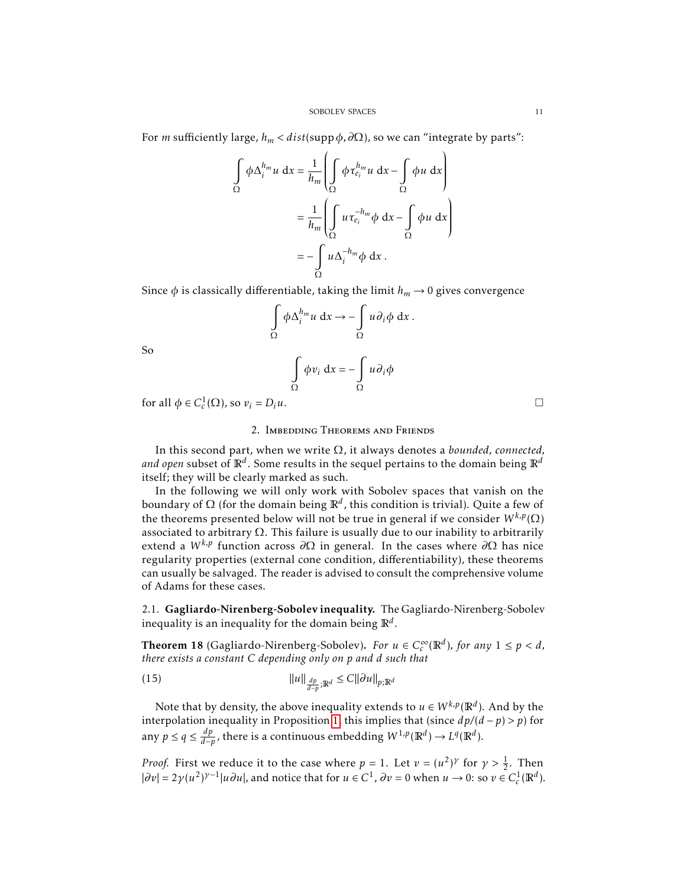For *m* sufficiently large,  $h_m < dist(supp \phi, \partial\Omega)$ , so we can "integrate by parts":

$$
\int_{\Omega} \phi \Delta_i^{h_m} u \, dx = \frac{1}{h_m} \left( \int_{\Omega} \phi \tau_{e_i}^{h_m} u \, dx - \int_{\Omega} \phi u \, dx \right)
$$

$$
= \frac{1}{h_m} \left( \int_{\Omega} u \tau_{e_i}^{-h_m} \phi \, dx - \int_{\Omega} \phi u \, dx \right)
$$

$$
= - \int_{\Omega} u \Delta_i^{-h_m} \phi \, dx.
$$

Since  $\phi$  is classically differentiable, taking the limit  $h_m \to 0$  gives convergence

$$
\int_{\Omega} \phi \Delta_i^{h_m} u \, dx \to -\int_{\Omega} u \partial_i \phi \, dx \, .
$$

So

$$
\int_{\Omega} \phi v_i \, \mathrm{d}x = -\int_{\Omega} u \partial_i \phi
$$

for all  $\phi \in C_c^1(\Omega)$ , so  $v_i = D_i u$ .

### 2. Imbedding Theorems and Friends

In this second part, when we write Ω, it always denotes a *bounded, connected, and open* subset of R*<sup>d</sup>* . Some results in the sequel pertains to the domain being R*<sup>d</sup>* itself; they will be clearly marked as such.

In the following we will only work with Sobolev spaces that vanish on the boundary of Ω (for the domain being R*<sup>d</sup>* , this condition is trivial). Quite a few of the theorems presented below will not be true in general if we consider  $W^{k,p}(\Omega)$ associated to arbitrary  $\Omega$ . This failure is usually due to our inability to arbitrarily extend a *W k,p* function across *∂*Ω in general. In the cases where *∂*Ω has nice regularity properties (external cone condition, differentiability), these theorems can usually be salvaged. The reader is advised to consult the comprehensive volume of Adams for these cases.

2.1. Gagliardo-Nirenberg-Sobolev inequality. The Gagliardo-Nirenberg-Sobolev inequality is an inequality for the domain being R*<sup>d</sup>* .

<span id="page-10-1"></span>Theorem 18 (Gagliardo-Nirenberg-Sobolev). *For u* ∈ *C* ∞  $\int_{c}^{\infty}(\mathbb{R}^{d})$ *, for any*  $1 \leq p < d$ *, there exists a constant C depending only on p and d such that*

<span id="page-10-0"></span>(15) 
$$
||u||_{\frac{dp}{d-p};\mathbb{R}^d} \leq C||\partial u||_{p;\mathbb{R}^d}
$$

Note that by density, the above inequality extends to  $u \in W^{k,p}(\mathbb{R}^d).$  And by the interpolation inequality in Proposition [1,](#page-3-0) this implies that (since *dp/*(*d* − *p*) *> p*) for any  $p \le q \le \frac{dp}{d-p}$ , there is a continuous embedding  $W^{1,p}(\mathbb{R}^d) \to L^q(\mathbb{R}^d)$ .

*Proof.* First we reduce it to the case where  $p = 1$ . Let  $v = (u^2)^\gamma$  for  $\gamma > \frac{1}{2}$ . Then  $|\partial v| = 2\gamma(u^2)^{\gamma-1}|u\partial u|$ , and notice that for  $u \in C^1$ ,  $\partial v = 0$  when  $u \to 0$ : so  $v \in C_c^1(\mathbb{R}^d)$ .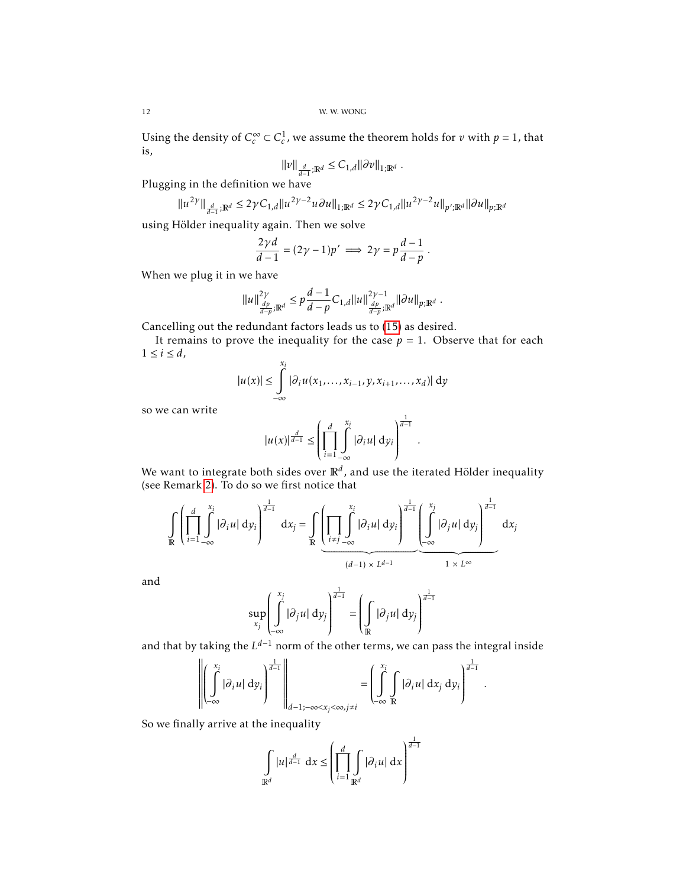Using the density of  $C_c^{\infty} \subset C_c^1$ , we assume the theorem holds for *v* with  $p = 1$ , that is,

$$
\|v\|_{\frac{d}{d-1};\mathbb{R}^d}\leq C_{1,d}\|\partial v\|_{1;\mathbb{R}^d}\;.
$$

Plugging in the definition we have

$$
\|u^{2\gamma}\|_{\frac{d}{d-1};\mathbb{R}^d}\leq 2\gamma C_{1,d} \|u^{2\gamma-2}u\partial u\|_{1;\mathbb{R}^d}\leq 2\gamma C_{1,d} \|u^{2\gamma-2}u\|_{p';\mathbb{R}^d}\|\partial u\|_{p;\mathbb{R}^d}
$$

using Hölder inequality again. Then we solve

$$
\frac{2\gamma d}{d-1} = (2\gamma - 1)p' \implies 2\gamma = p\frac{d-1}{d-p}.
$$

When we plug it in we have

$$
||u||_{\frac{dp}{d-p};\mathbb{R}^d}^{2\gamma} \leq p\frac{d-1}{d-p}C_{1,d}||u||_{\frac{dp}{d-p};\mathbb{R}^d}^{2\gamma-1}||\partial u||_{p;\mathbb{R}^d}.
$$

Cancelling out the redundant factors leads us to [\(15\)](#page-10-0) as desired.

It remains to prove the inequality for the case  $p = 1$ . Observe that for each  $1 \leq i \leq d$ ,

$$
|u(x)| \leq \int_{-\infty}^{x_i} |\partial_i u(x_1,\ldots,x_{i-1},y,x_{i+1},\ldots,x_d)| dy
$$

so we can write

$$
|u(x)|^{\frac{d}{d-1}} \leq \left(\prod_{i=1}^d \int\limits_{-\infty}^{x_i} |\partial_i u| \, \mathrm{d} y_i\right)^{\frac{1}{d-1}}
$$

*.*

We want to integrate both sides over R*<sup>d</sup>* , and use the iterated Hölder inequality (see Remark [2\)](#page-4-0). To do so we first notice that

$$
\iint\limits_{\mathbb{R}}\left(\prod_{i=1}^{d}\int\limits_{-\infty}^{x_{i}}|\partial_{i}u|\,dy_{i}\right)^{\frac{1}{d-1}}\,dx_{j}=\iint\limits_{\mathbb{R}}\underbrace{\left(\prod\limits_{i\neq j}\int\limits_{-\infty}^{x_{i}}|\partial_{i}u|\,dy_{i}\right)^{\frac{1}{d-1}}\left(\int\limits_{-\infty}^{x_{j}}|\partial_{j}u|\,dy_{j}\right)^{\frac{1}{d-1}}}_{(d-1)\times L^{d-1}}\,dx_{j}
$$

and

$$
\sup_{x_j} \left( \int_{-\infty}^{x_j} |\partial_j u| \, dy_j \right)^{\frac{1}{d-1}} = \left( \int_{\mathbb{R}} |\partial_j u| \, dy_j \right)^{\frac{1}{d-1}}
$$

and that by taking the *L <sup>d</sup>*−<sup>1</sup> norm of the other terms, we can pass the integral inside

$$
\left\|\left(\int\limits_{-\infty}^{x_i}|\partial_i u| \,dy_i\right)^{\frac{1}{d-1}}\right\|_{d-1;-\infty < x_j < \infty, j\neq i} = \left(\int\limits_{-\infty}^{x_i} \int\limits_{\mathbb{R}}|\partial_i u| \,dx_j \,dy_i\right)^{\frac{1}{d-1}}.
$$

So we finally arrive at the inequality

$$
\int_{\mathbb{R}^d} |u|^{\frac{d}{d-1}} dx \leq \left(\prod_{i=1}^d \int_{\mathbb{R}^d} |\partial_i u| dx\right)^{\frac{1}{d-1}}
$$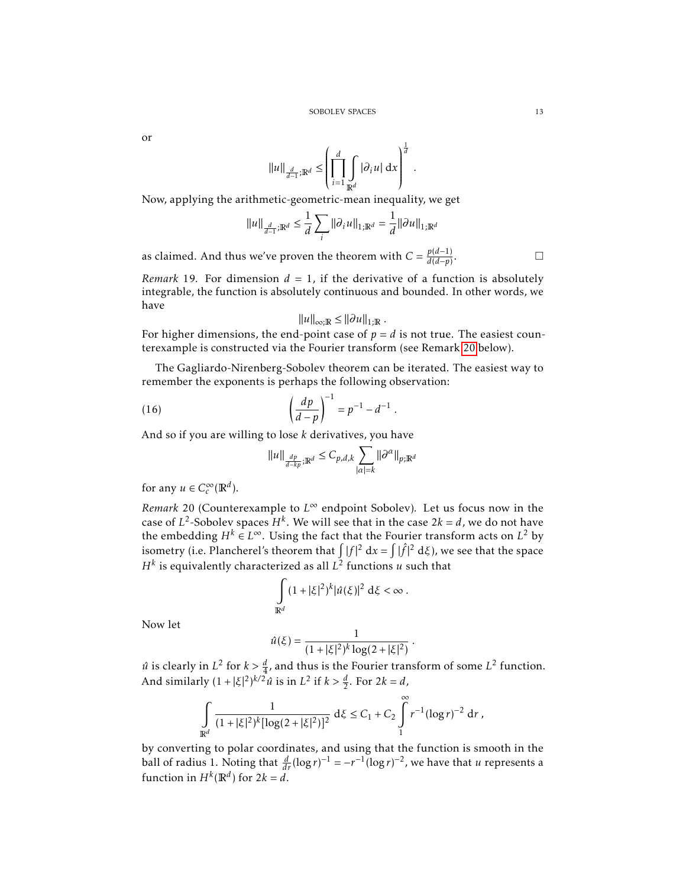or

$$
||u||_{\frac{d}{d-1};\mathbb{R}^d} \leq \left(\prod_{i=1}^d \int_{\mathbb{R}^d} |\partial_i u| \,dx\right)^{\frac{1}{d}}.
$$

Now, applying the arithmetic-geometric-mean inequality, we get

$$
||u||_{\frac{d}{d-1};\mathbb{R}^d} \leq \frac{1}{d} \sum_i ||\partial_i u||_{1;\mathbb{R}^d} = \frac{1}{d} ||\partial u||_{1;\mathbb{R}^d}
$$

as claimed. And thus we've proven the theorem with  $C = \frac{p(d-1)}{d(d-n)}$ *d*(*d*−*p*) . — Первый профессиональный стандарт и профессиональный стандарт и профессиональный стандарт и профессиональны<br>В сервисов с профессиональный стандарт и профессиональный стандарт и профессиональный стандарт и профессиональ

*Remark* 19. For dimension  $d = 1$ , if the derivative of a function is absolutely integrable, the function is absolutely continuous and bounded. In other words, we have

$$
||u||_{\infty;\mathbb{R}} \leq ||\partial u||_{1;\mathbb{R}}.
$$

For higher dimensions, the end-point case of  $p = d$  is not true. The easiest counterexample is constructed via the Fourier transform (see Remark [20](#page-12-0) below).

The Gagliardo-Nirenberg-Sobolev theorem can be iterated. The easiest way to remember the exponents is perhaps the following observation:

(16) 
$$
\left(\frac{dp}{d-p}\right)^{-1} = p^{-1} - d^{-1}.
$$

And so if you are willing to lose *k* derivatives, you have

$$
||u||_{\frac{dp}{d-kp};\mathbb{R}^d} \leq C_{p,d,k} \sum_{|\alpha|=k} ||\partial^{\alpha}||_{p;\mathbb{R}^d}
$$

for any  $u \in C_c^\infty$  $_{c}^{\infty}(\mathbb{R}^{d}).$ 

<span id="page-12-0"></span>*Remark* 20 (Counterexample to *L* <sup>∞</sup> endpoint Sobolev)*.* Let us focus now in the case of  $L^2$ -Sobolev spaces  $H^k$ . We will see that in the case  $2k = d$ , we do not have the embedding  $H^k \in L^\infty$ . Using the fact that the Fourier transform acts on  $L^2$  by isometry (i.e. Plancherel's theorem that  $\int |f|^2 dx = \int |\hat{f}|^2 d\xi$ ), we see that the space  $H^k$  is equivalently characterized as all  $L^2$  functions  $u$  such that

$$
\int\limits_{\mathbb R^d} (1+|\xi|^2)^k |\hat u(\xi)|^2 \; \mathrm{d} \xi < \infty \; .
$$

Now let

$$
\hat{u}(\xi) = \frac{1}{(1+|\xi|^2)^k \log(2+|\xi|^2)}
$$

*.*

 $\hat{u}$  is clearly in  $L^2$  for  $k > \frac{d}{4}$ , and thus is the Fourier transform of some  $L^2$  function. And similarly  $(1 + |\xi|^2)^{k/2} \hat{u}$  is in  $L^2$  if  $k > \frac{d}{2}$ . For  $2k = d$ ,

$$
\int_{\mathbb{R}^d} \frac{1}{(1+|\xi|^2)^k [\log(2+|\xi|^2)]^2} \, \mathrm{d}\xi \leq C_1 + C_2 \int_{1}^{\infty} r^{-1} (\log r)^{-2} \, \mathrm{d}r \, ,
$$

by converting to polar coordinates, and using that the function is smooth in the ball of radius 1. Noting that  $\frac{d}{dr}(\log r)^{-1} = -r^{-1}(\log r)^{-2}$ , we have that *u* represents a function in  $H^k(\mathbb{R}^d)$  for  $2k = d$ .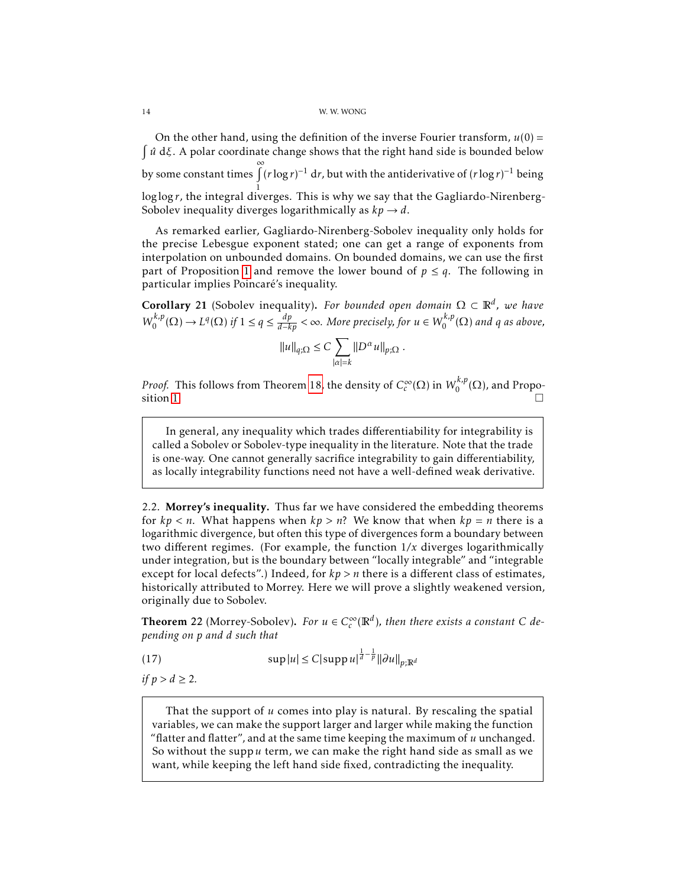On the other hand, using the definition of the inverse Fourier transform,  $u(0) =$  $\int u dξ$ . A polar coordinate change shows that the right hand side is bounded below y<br>by some constant times  $\int_0^\infty (r \log r)^{-1} dr$ , but with the antiderivative of  $(r \log r)^{-1}$  being 1 log log*r*, the integral diverges. This is why we say that the Gagliardo-Nirenberg-Sobolev inequality diverges logarithmically as  $kp \rightarrow d$ .

As remarked earlier, Gagliardo-Nirenberg-Sobolev inequality only holds for the precise Lebesgue exponent stated; one can get a range of exponents from interpolation on unbounded domains. On bounded domains, we can use the first part of Proposition [1](#page-3-0) and remove the lower bound of  $p \leq q$ . The following in particular implies Poincaré's inequality.

**Corollary** 21 (Sobolev inequality). For bounded open domain  $\Omega \subset \mathbb{R}^d$ , we have  $W_0^{k,p}$  $\int_0^{k,p}(\Omega) \to L^q(\Omega)$  if  $1 \leq q \leq \frac{dp}{d-kp} < \infty$ . More precisely, for  $u \in W_0^{k,p}$  $\int_0^{L,p}(\Omega)$  and q as above,

$$
||u||_{q;\Omega} \leq C \sum_{|\alpha|=k} ||D^{\alpha}u||_{p;\Omega} .
$$

*Proof.* This follows from Theorem [18,](#page-10-1) the density of  $C_c^∞$  $\int_c^\infty(\Omega)$  in  $W_0^{k,p}$  $\binom{r,p}{0}$  ( $\Omega$ ), and Propo-sition [1.](#page-3-0)

In general, any inequality which trades differentiability for integrability is called a Sobolev or Sobolev-type inequality in the literature. Note that the trade is one-way. One cannot generally sacrifice integrability to gain differentiability, as locally integrability functions need not have a well-defined weak derivative.

2.2. Morrey's inequality. Thus far we have considered the embedding theorems for  $kp < n$ . What happens when  $kp > n$ ? We know that when  $kp = n$  there is a logarithmic divergence, but often this type of divergences form a boundary between two different regimes. (For example, the function 1*/x* diverges logarithmically under integration, but is the boundary between "locally integrable" and "integrable except for local defects".) Indeed, for *kp > n* there is a different class of estimates, historically attributed to Morrey. Here we will prove a slightly weakened version, originally due to Sobolev.

<span id="page-13-0"></span>**Theorem 22** (Morrey-Sobolev). *For*  $u \in C_c^{\infty}$  $\int_{c}^{\infty}(\mathbb{R}^{d})$ , then there exists a constant C de*pending on p and d such that*

(17) 
$$
\sup |u| \leq C |\sup p u|^{\frac{1}{d} - \frac{1}{p}} ||\partial u||_{p;\mathbb{R}^d}
$$

*if*  $p > d \ge 2$ *.* 

That the support of *u* comes into play is natural. By rescaling the spatial variables, we can make the support larger and larger while making the function "flatter and flatter", and at the same time keeping the maximum of *u* unchanged. So without the supp*u* term, we can make the right hand side as small as we want, while keeping the left hand side fixed, contradicting the inequality.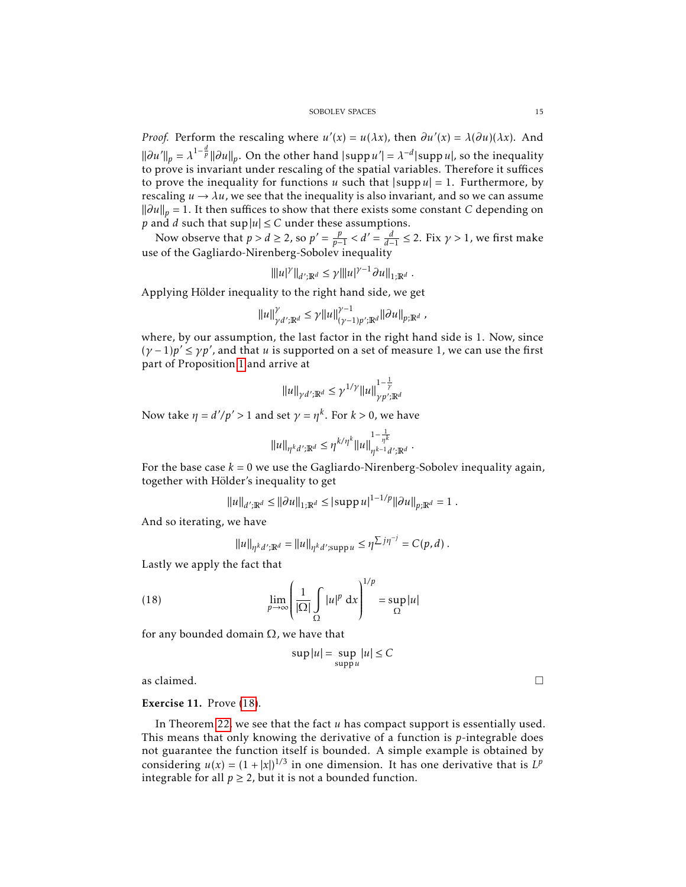*Proof.* Perform the rescaling where  $u'(x) = u(\lambda x)$ , then  $\partial u'(x) = \lambda(\partial u)(\lambda x)$ . And  $\|\partial u'\|_p = \lambda^{1-\frac{d}{p}} \|\partial u\|_p$ . On the other hand  $|\operatorname{supp} u'| = \lambda^{-d} |\operatorname{supp} u|$ , so the inequality to prove is invariant under rescaling of the spatial variables. Therefore it suffices to prove the inequality for functions *u* such that  $|\text{supp } u| = 1$ . Furthermore, by rescaling  $u \rightarrow \lambda u$ , we see that the inequality is also invariant, and so we can assume *\* $\|\partial u\|_p = 1$ . It then suffices to show that there exists some constant *C* depending on *p* and *d* such that sup  $|u| \leq C$  under these assumptions.

Now observe that  $p > d \ge 2$ , so  $p' = \frac{p}{p-1} < d' = \frac{d}{d-1} \le 2$ . Fix  $\gamma > 1$ , we first make use of the Gagliardo-Nirenberg-Sobolev inequality

$$
\| |u|^{\gamma} \|_{d';\mathbb{R}^d} \leq \gamma \| |u|^{\gamma-1} \partial u \|_{1;\mathbb{R}^d} .
$$

Applying Hölder inequality to the right hand side, we get

$$
\|u\|_{\gamma d^{\prime};\mathbb{R}^{d}}^{\gamma}\leq\gamma\|u\|_{(\gamma-1)p^{\prime};\mathbb{R}^{d}}^{\gamma-1}\|\partial u\|_{p;\mathbb{R}^{d}}\;,
$$

where, by our assumption, the last factor in the right hand side is 1. Now, since  $(\gamma - 1)p' \le \gamma p'$ , and that *u* is supported on a set of measure 1, we can use the first part of Proposition [1](#page-3-0) and arrive at

$$
||u||_{\gamma d';\mathbb{R}^d} \leq \gamma^{1/\gamma} ||u||_{\gamma p';\mathbb{R}^d}^{1-\frac{1}{\gamma}}
$$

Now take  $\eta = d'/p' > 1$  and set  $\gamma = \eta^k$ . For  $k > 0$ , we have

$$
\|u\|_{\eta^k d',\mathbb{R}^d} \leq \eta^{k/\eta^k} \|u\|_{\eta^{k-1} d',\mathbb{R}^d}^{1-\frac{1}{\eta^k}}
$$

*.*

For the base case  $k = 0$  we use the Gagliardo-Nirenberg-Sobolev inequality again, together with Hölder's inequality to get

$$
||u||_{d';\mathbb{R}^d} \le ||\partial u||_{1;\mathbb{R}^d} \le |\text{supp}\, u|^{1-1/p} ||\partial u||_{p;\mathbb{R}^d} = 1 \; .
$$

And so iterating, we have

$$
||u||_{\eta^k d';\mathbb{R}^d} = ||u||_{\eta^k d';\text{supp}\, u} \leq \eta^{\sum j\eta^{-j}} = C(p,d) \, .
$$

Lastly we apply the fact that

(18) 
$$
\lim_{p \to \infty} \left( \frac{1}{|\Omega|} \int_{\Omega} |u|^p dx \right)^{1/p} = \sup_{\Omega} |u|
$$

for any bounded domain  $\Omega$ , we have that

<span id="page-14-0"></span>
$$
\sup |u| = \sup_{\text{supp}\,u} |u| \leq C
$$

as claimed.  $\Box$ 

# Exercise 11. Prove [\(18\)](#page-14-0).

In Theorem [22,](#page-13-0) we see that the fact *u* has compact support is essentially used. This means that only knowing the derivative of a function is *p*-integrable does not guarantee the function itself is bounded. A simple example is obtained by considering  $u(x) = (1 + |x|)^{1/3}$  in one dimension. It has one derivative that is  $L^p$ integrable for all  $p \ge 2$ , but it is not a bounded function.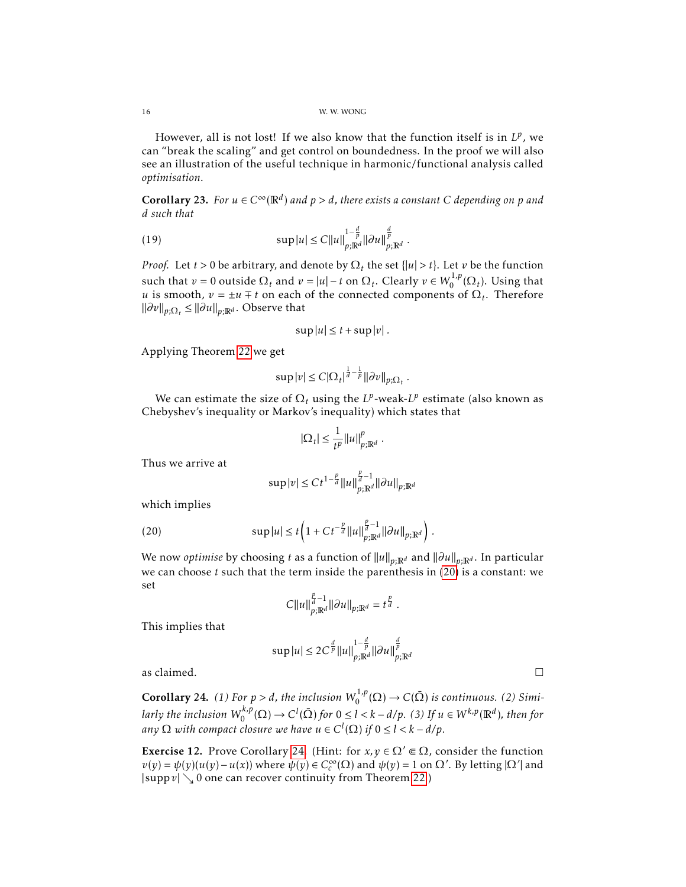However, all is not lost! If we also know that the function itself is in  $L^p$ , we can "break the scaling" and get control on boundedness. In the proof we will also see an illustration of the useful technique in harmonic/functional analysis called *optimisation*.

<span id="page-15-2"></span>**Corollary 23.** For  $u \in C^{\infty}(\mathbb{R}^d)$  and  $p > d$ , there exists a constant C depending on p and *d such that*

(19) 
$$
\sup |u| \leq C ||u||_{p;\mathbb{R}^d}^{1-\frac{d}{p}} ||\partial u||_{p;\mathbb{R}^d}^{\frac{d}{p}}.
$$

*Proof.* Let *t* > 0 be arbitrary, and denote by  $\Omega_t$  the set {|u| > *t*}. Let *v* be the function such that  $v = 0$  outside  $\Omega_t$  and  $v = |u| - t$  on  $\Omega_t$ . Clearly  $v \in W_0^{1,p}$  $\int_0^{1/p}$  ( $\Omega_t$ ). Using that *u* is smooth,  $v = \pm u \mp t$  on each of the connected components of  $\Omega_t$ . Therefore  $\|\partial v\|_{p;\Omega_t}$  ≤  $\|\partial u\|_{p;\mathbb{R}^d}$ . Observe that

$$
\sup |u| \leq t + \sup |v|.
$$

Applying Theorem [22](#page-13-0) we get

$$
\sup |v| \leq C |\Omega_t|^{\frac{1}{d}-\frac{1}{p}} \|\partial v\|_{p;\Omega_t} \; .
$$

We can estimate the size of  $\Omega_t$  using the  $L^p$ -weak- $L^p$  estimate (also known as Chebyshev's inequality or Markov's inequality) which states that

$$
|\Omega_t| \le \frac{1}{t^p} ||u||_{p;\mathbb{R}^d}^p
$$

*.*

Thus we arrive at

<span id="page-15-0"></span>
$$
\sup |v| \le Ct^{1-\frac{p}{d}} \|u\|_{p;\mathbb{R}^d}^{\frac{p}{d}-1} \|\partial u\|_{p;\mathbb{R}^d}
$$

which implies

(20) 
$$
\sup |u| \leq t \left(1 + Ct^{-\frac{p}{d}} \|u\|_{p;\mathbb{R}^d}^{\frac{p}{d}-1} \| \partial u\|_{p;\mathbb{R}^d} \right).
$$

*We now optimise* by choosing *t* as a function of  $||u||_{p;\mathbb{R}^d}$  and  $||\partial u||_{p;\mathbb{R}^d}$ . In particular we can choose *t* such that the term inside the parenthesis in [\(20\)](#page-15-0) is a constant: we set

$$
C||u||_{p;\mathbb{R}^d}^{\frac{p}{d}-1}||\partial u||_{p;\mathbb{R}^d}=t^{\frac{p}{d}}.
$$

This implies that

$$
\sup |u| \le 2C^{\frac{d}{p}} \|u\|_{p;\mathbb{R}^d}^{1-\frac{d}{p}} \|\partial u\|_{p;\mathbb{R}^d}^{\frac{d}{p}}
$$

as claimed.  $\Box$ 

<span id="page-15-1"></span>**Corollary 24.** (1) For  $p > d$ , the inclusion  $W_0^{1,p}$  $C_0^{1,p}(\Omega) \to C(\bar{\Omega})$  *is continuous.* (2) Simi*larly the inclusion W k,p*  $C_0^{k,p}(\Omega) \to C^l(\overline{\Omega})$  for  $0 \le l < k - d/p$ . (3) If  $u \in W^{k,p}(\mathbb{R}^d)$ , then for *any*  $\Omega$  *with compact closure we have*  $u \in C^l(\Omega)$  *if*  $0 \le l < k - d/p$ .

**Exercise 12.** Prove Corollary [24.](#page-15-1) (Hint: for  $x, y \in \Omega' \subseteq \Omega$ , consider the function  $v(y) = \psi(y)(u(y) - u(x))$  where  $\psi(y) \in C_c^{\infty}$  $c^{\infty}(\Omega)$  and  $\psi(y) = 1$  on  $\Omega'$ . By letting  $|\Omega'|$  and  $|\text{supp } v| \searrow 0$  one can recover continuity from Theorem [22.](#page-13-0))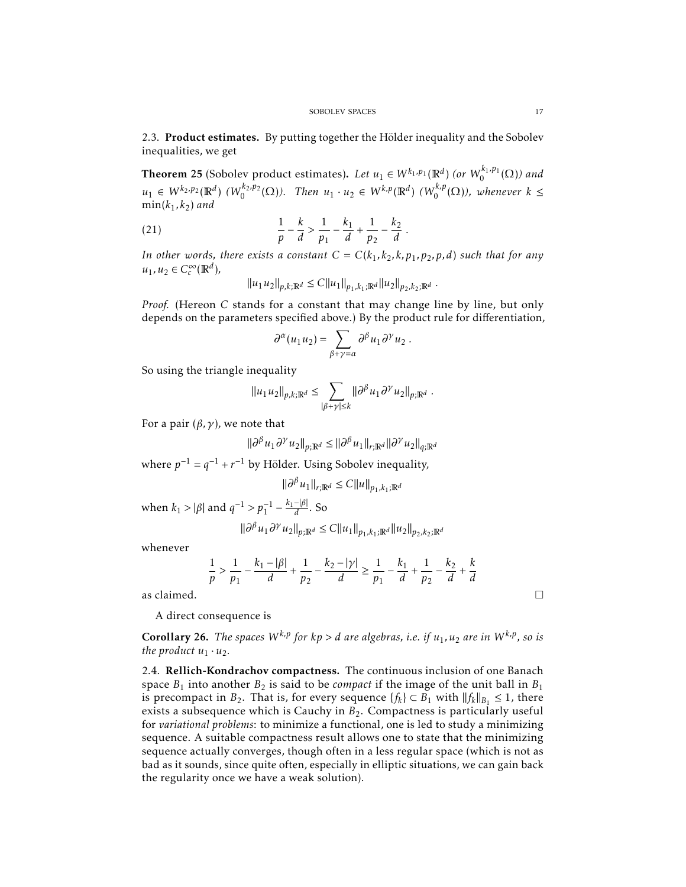2.3. Product estimates. By putting together the Hölder inequality and the Sobolev inequalities, we get

**Theorem 25** (Sobolev product estimates). Let  $u_1 \in W^{k_1,p_1}(\mathbb{R}^d)$  (or  $W_0^{k_1,p_1}(\Omega)$ ) and  $u_1 \in W^{k_2, p_2}(\mathbb{R}^d)$  *(W*<sub>0</sub><sup>*k*</sup>,*p*<sub>2</sub>*(* $\Omega$ )). Then  $u_1 \cdot u_2 \in W^{k, p}(\mathbb{R}^d)$  *(W*<sub>0</sub><sup>*k*</sup>,*p*<sup>*k*</sup>)  $\binom{k,p}{0}$  ( $\Omega$ )), whenever  $k \leq$  $min(k_1, k_2)$  *and* 

(21) 
$$
\frac{1}{p} - \frac{k}{d} > \frac{1}{p_1} - \frac{k_1}{d} + \frac{1}{p_2} - \frac{k_2}{d}.
$$

*In other words, there exists a constant*  $C = C(k_1, k_2, k, p_1, p_2, p, d)$  *such that for any*  $u_1, u_2 \in C_c^\infty$  $_{c}^{\infty}(\mathbb{R}^{d}),$ 

$$
||u_1 u_2||_{p,k;\mathbb{R}^d} \leq C||u_1||_{p_1,k_1;\mathbb{R}^d} ||u_2||_{p_2,k_2;\mathbb{R}^d}.
$$

*Proof.* (Hereon *C* stands for a constant that may change line by line, but only depends on the parameters specified above.) By the product rule for differentiation,

$$
\partial^\alpha (u_1 u_2) = \sum_{\beta + \gamma = \alpha} \partial^\beta u_1 \partial^\gamma u_2.
$$

So using the triangle inequality

$$
||u_1u_2||_{p,k;\mathbb{R}^d}\leq \sum_{|\beta+\gamma|\leq k} ||\partial^\beta u_1\partial^\gamma u_2||_{p;\mathbb{R}^d}\;.
$$

For a pair  $(\beta, \gamma)$ , we note that

 $\|\partial^{\beta} u_1 \partial^{\gamma} u_2\|_{p;\mathbb{R}^d} \le \|\partial^{\beta} u_1\|_{r;\mathbb{R}^d} \|\partial^{\gamma} u_2\|_{q;\mathbb{R}^d}$ 

where  $p^{-1} = q^{-1} + r^{-1}$  by Hölder. Using Sobolev inequality,

$$
\|\partial^{\beta} u_1\|_{r;\mathbb{R}^d} \le C \|u\|_{p_1,k_1;\mathbb{R}^d}
$$

when  $k_1 > |\beta|$  and  $q^{-1} > p_1^{-1} - \frac{k_1 - |\beta|}{d}$ . So

$$
\|\partial^{\beta} u_1 \partial^{\gamma} u_2\|_{p;\mathbb{R}^d} \le C \|u_1\|_{p_1,k_1;\mathbb{R}^d} \|u_2\|_{p_2,k_2;\mathbb{R}^d}
$$

whenever

$$
\frac{1}{p} > \frac{1}{p_1} - \frac{k_1 - |\beta|}{d} + \frac{1}{p_2} - \frac{k_2 - |\gamma|}{d} \ge \frac{1}{p_1} - \frac{k_1}{d} + \frac{1}{p_2} - \frac{k_2}{d} + \frac{k}{d}
$$
as claimed.

A direct consequence is

**Corollary 26.** The spaces  $W^{k,p}$  for  $kp > d$  are algebras, i.e. if  $u_1, u_2$  are in  $W^{k,p}$ , so is *the product*  $u_1 \cdot u_2$ *.* 

2.4. Rellich-Kondrachov compactness. The continuous inclusion of one Banach space  $B_1$  into another  $B_2$  is said to be *compact* if the image of the unit ball in  $B_1$ is precompact in *B*<sub>2</sub>. That is, for every sequence  $\{f_k\} \subset B_1$  with  $||f_k||_{B_1} \leq 1$ , there exists a subsequence which is Cauchy in *B*2. Compactness is particularly useful for *variational problems*: to minimize a functional, one is led to study a minimizing sequence. A suitable compactness result allows one to state that the minimizing sequence actually converges, though often in a less regular space (which is not as bad as it sounds, since quite often, especially in elliptic situations, we can gain back the regularity once we have a weak solution).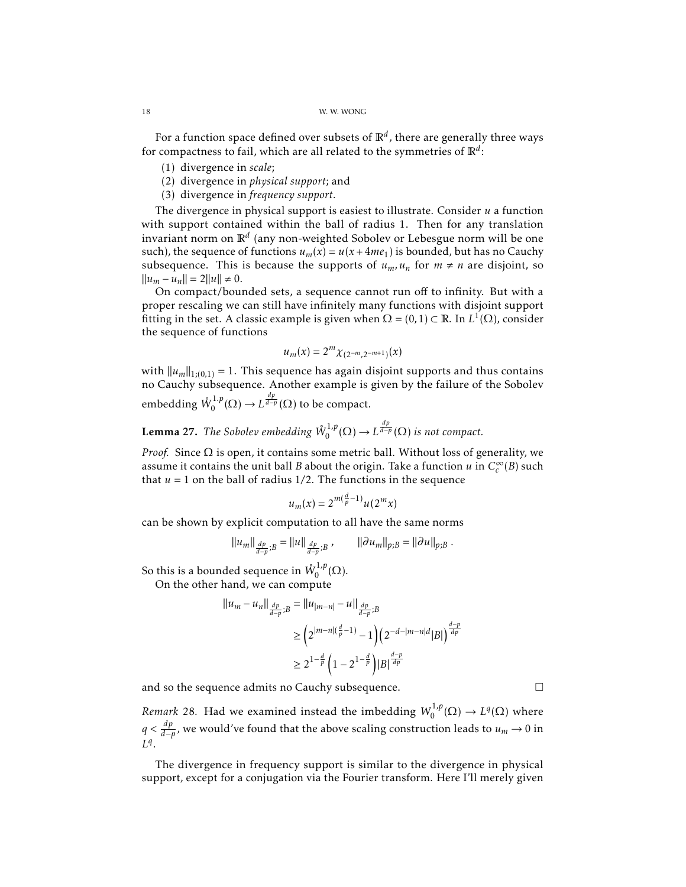For a function space defined over subsets of  $\mathbb{R}^d$  , there are generally three ways for compactness to fail, which are all related to the symmetries of  $\mathbb{R}^d$ :

- (1) divergence in *scale*;
- (2) divergence in *physical support*; and
- (3) divergence in *frequency support*.

The divergence in physical support is easiest to illustrate. Consider *u* a function with support contained within the ball of radius 1. Then for any translation invariant norm on  $\mathbb{R}^d$  (any non-weighted Sobolev or Lebesgue norm will be one such), the sequence of functions  $u_m(x) = u(x + 4me_1)$  is bounded, but has no Cauchy subsequence. This is because the supports of  $u_m$ ,  $u_n$  for  $m \neq n$  are disjoint, so  $||u_m - u_n|| = 2||u|| \neq 0.$ 

On compact/bounded sets, a sequence cannot run off to infinity. But with a proper rescaling we can still have infinitely many functions with disjoint support fitting in the set. A classic example is given when  $\Omega = (0,1) \subset \mathbb{R}$ . In  $L^1(\Omega)$ , consider the sequence of functions

$$
u_m(x) = 2^m \chi_{(2^{-m}, 2^{-m+1})}(x)
$$

with  $||u_m||_{1;(0,1)} = 1$ . This sequence has again disjoint supports and thus contains no Cauchy subsequence. Another example is given by the failure of the Sobolev embedding  $\mathring{W}^{1,p}_0$  $L^{1,p}(\Omega) \to L^{\frac{dp}{d-p}}(\Omega)$  to be compact.

**Lemma** 27. The Sobolev embedding  $\mathring{W}_0^{1,p}$  $L_0^{1,p}(\Omega) \to L^{\frac{dp}{d-p}}(\Omega)$  is not compact.

*Proof.* Since Ω is open, it contains some metric ball. Without loss of generality, we assume it contains the unit ball *B* about the origin. Take a function *u* in *C* ∞  $_{c}^{\infty}(B)$  such that  $u = 1$  on the ball of radius  $1/2$ . The functions in the sequence

$$
u_m(x) = 2^{m(\frac{d}{p}-1)}u(2^m x)
$$

can be shown by explicit computation to all have the same norms

$$
||u_m||_{\frac{dp}{d-p};B} = ||u||_{\frac{dp}{d-p};B} , \qquad ||\partial u_m||_{p;B} = ||\partial u||_{p;B} .
$$

So this is a bounded sequence in  $\mathring{W}_{0}^{1,p}$  $_{0}^{1,p}(\Omega).$ 

On the other hand, we can compute

$$
||u_m - u_n||_{\frac{dp}{d-p};B} = ||u_{|m-n|} - u||_{\frac{dp}{d-p};B}
$$
  
\n
$$
\geq \left(2^{|m-n|(\frac{d}{p}-1)} - 1\right) \left(2^{-d-|m-n|d} |B|\right)^{\frac{d-p}{dp}}
$$
  
\n
$$
\geq 2^{1-\frac{d}{p}} \left(1 - 2^{1-\frac{d}{p}}\right) |B|^{\frac{d-p}{dp}}
$$

and so the sequence admits no Cauchy subsequence.

*Remark* 28. Had we examined instead the imbedding  $W_0^{1,p}$  $L^{1,p}(\Omega) \to L^q(\Omega)$  where *q* <  $\frac{dp}{d-p}$ , we would've found that the above scaling construction leads to *u*<sub>*m*</sub> → 0 in *L q* .

The divergence in frequency support is similar to the divergence in physical support, except for a conjugation via the Fourier transform. Here I'll merely given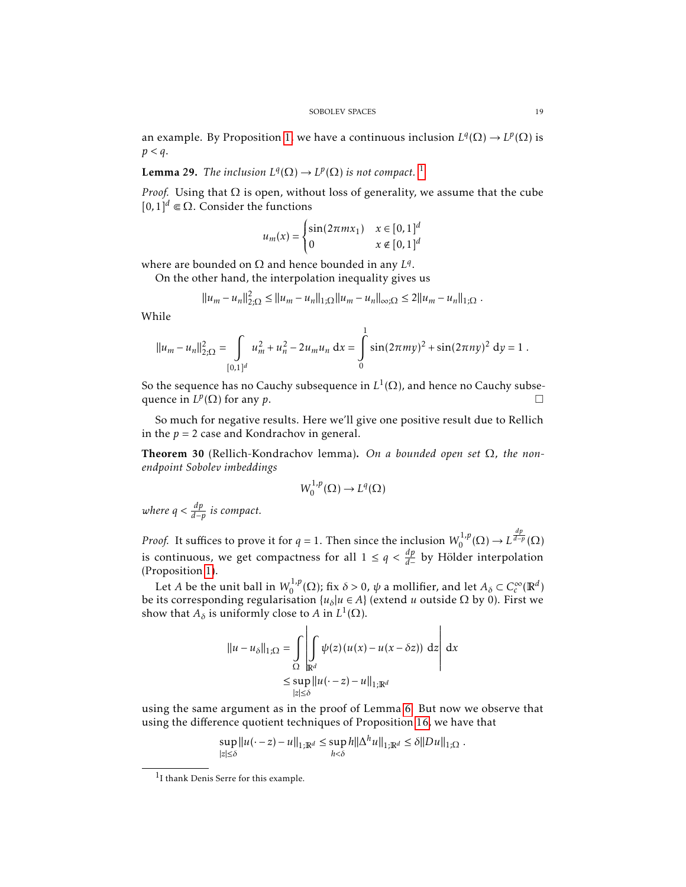an example. By Proposition [1,](#page-3-0) we have a continuous inclusion  $L^q(\Omega) \to L^p(\Omega)$  is *p < q*.

**Lemma 29.** *The inclusion*  $L^q(\Omega) \to L^p(\Omega)$  *is not compact.* <sup>[1](#page-18-0)</sup>

*Proof.* Using that  $\Omega$  is open, without loss of generality, we assume that the cube  $[0,1]$ <sup>*d*</sup> ∈ Ω. Consider the functions

$$
u_m(x) = \begin{cases} \sin(2\pi mx_1) & x \in [0,1]^d \\ 0 & x \notin [0,1]^d \end{cases}
$$

where are bounded on  $\Omega$  and hence bounded in any  $L^q$ .

On the other hand, the interpolation inequality gives us

$$
||u_m - u_n||_{2,\Omega}^2 \le ||u_m - u_n||_{1,\Omega} ||u_m - u_n||_{\infty,\Omega} \le 2||u_m - u_n||_{1,\Omega}.
$$

While

$$
||u_m - u_n||_{2;\Omega}^2 = \int_{[0,1]^d} u_m^2 + u_n^2 - 2u_m u_n \, dx = \int_0^1 \sin(2\pi m y)^2 + \sin(2\pi n y)^2 \, dy = 1.
$$

So the sequence has no Cauchy subsequence in  $L^1(\Omega)$ , and hence no Cauchy subsequence in  $L^p(\Omega)$  for any *p*.

So much for negative results. Here we'll give one positive result due to Rellich in the  $p = 2$  case and Kondrachov in general.

Theorem 30 (Rellich-Kondrachov lemma). *On a bounded open set* Ω*, the nonendpoint Sobolev imbeddings*

$$
W_0^{1,p}(\Omega) \to L^q(\Omega)
$$

*where*  $q < \frac{dp}{d-p}$  *is compact.* 

*Proof.* It suffices to prove it for  $q = 1$ . Then since the inclusion  $W_0^{1,p}$  $L^{1,p}(\Omega) \to L^{\frac{dp}{d-p}}(\Omega)$ is continuous, we get compactness for all  $1 \leq q < \frac{dp}{d-}$  by Hölder interpolation (Proposition [1\)](#page-3-0).

Let *A* be the unit ball in  $W_0^{1,p}$  $\int_0^{1,p}(\Omega)$ ; fix *δ* > 0,  $\psi$  a mollifier, and let  $A_\delta \subset C_c^\infty$  $_{c}^{\infty}(\mathbb{R}^{d})$ be its corresponding regularisation  $\{u_\delta | u \in A\}$  (extend *u* outside  $\Omega$  by 0). First we show that  $A_{\delta}$  is uniformly close to *A* in  $L^{1}(\Omega)$ .

$$
||u - u_{\delta}||_{1;\Omega} = \int_{\Omega} \left| \int_{\mathbb{R}^d} \psi(z) (u(x) - u(x - \delta z)) dz \right| dx
$$
  
\$\leq \sup\_{|z| \leq \delta} ||u(-z) - u||\_{1;\mathbb{R}^d}\$

using the same argument as in the proof of Lemma [6.](#page-6-1) But now we observe that using the difference quotient techniques of Proposition [16,](#page-9-0) we have that

$$
\sup_{|z| \le \delta} \|u(\cdot - z) - u\|_{1; \mathbb{R}^d} \le \sup_{h < \delta} h \|\Delta^h u\|_{1; \mathbb{R}^d} \le \delta \|Du\|_{1; \Omega}.
$$

<span id="page-18-0"></span><sup>1</sup> I thank Denis Serre for this example.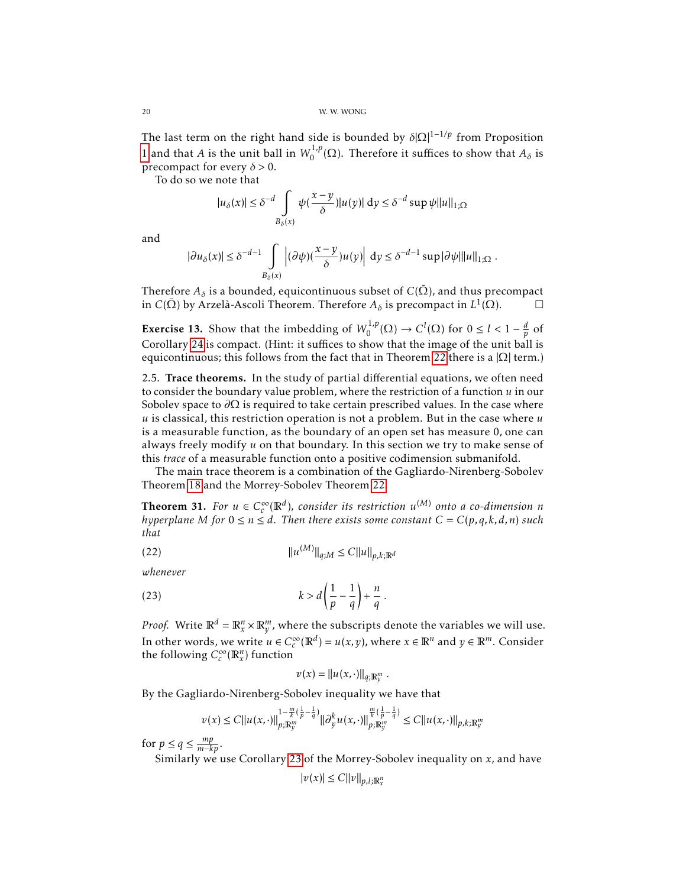The last term on the right hand side is bounded by *δ*|Ω| <sup>1</sup>−1*/p* from Proposition [1](#page-3-0) and that *A* is the unit ball in  $W_0^{1,p}$  $\int_0^{1,p}(\Omega)$ . Therefore it suffices to show that  $A_\delta$  is precompact for every  $\delta$  > 0.

To do so we note that

$$
|u_\delta(x)| \leq \delta^{-d} \int\limits_{B_\delta(x)} \psi(\frac{x-y}{\delta}) |u(y)|\, \mathrm{d} y \leq \delta^{-d} \sup \psi \|u\|_{1;\Omega}
$$

and

$$
|\partial u_\delta(x)| \leq \delta^{-d-1} \int\limits_{B_\delta(x)} \left|(\partial \psi)(\frac{x-y}{\delta}) u(y)\right|\, {\rm d} y \leq \delta^{-d-1} \sup |\partial \psi| \|u\|_{1;\Omega}\;.
$$

Therefore  $A_\delta$  is a bounded, equicontinuous subset of  $C(\bar{\Omega})$ , and thus precompact in *C*( $\bar{\Omega}$ ) by Arzelà-Ascoli Theorem. Therefore *Aδ* is precompact in *L*<sup>1</sup>( $\bar{\Omega}$ ). □

**Exercise 13.** Show that the imbedding of  $W_0^{1,p}$  $C^1, P(Q) \to C^1(\Omega)$  for  $0 \le l < 1 - \frac{d}{p}$  of Corollary [24](#page-15-1) is compact. (Hint: it suffices to show that the image of the unit ball is equicontinuous; this follows from the fact that in Theorem [22](#page-13-0) there is a  $|\Omega|$  term.)

2.5. Trace theorems. In the study of partial differential equations, we often need to consider the boundary value problem, where the restriction of a function *u* in our Sobolev space to *∂*Ω is required to take certain prescribed values. In the case where *u* is classical, this restriction operation is not a problem. But in the case where *u* is a measurable function, as the boundary of an open set has measure 0, one can always freely modify *u* on that boundary. In this section we try to make sense of this *trace* of a measurable function onto a positive codimension submanifold.

The main trace theorem is a combination of the Gagliardo-Nirenberg-Sobolev Theorem [18](#page-10-1) and the Morrey-Sobolev Theorem [22.](#page-13-0)

<span id="page-19-0"></span>**Theorem 31.** *For*  $u \in C_c^\infty$  $\int_{c}^{\infty}(\mathbb{R}^{d})$ , consider its restriction  $u^{(M)}$  onto a co-dimension  $n$ *hyperplane M for*  $0 \le n \le d$ *. Then there exists some constant*  $C = C(p, q, k, d, n)$  *such that*

(22) 
$$
||u^{(M)}||_{q;M} \leq C ||u||_{p,k;\mathbb{R}^d}
$$

*whenever*

(23) 
$$
k > d\left(\frac{1}{p} - \frac{1}{q}\right) + \frac{n}{q}.
$$

*Proof.* Write  $\mathbb{R}^d = \mathbb{R}^n_x \times \mathbb{R}^m_y$ , where the subscripts denote the variables we will use. In other words, we write  $u \in C_c^{\infty}$  $c^{\infty}_{c}(\mathbb{R}^{d}) = u(x, y)$ , where  $x \in \mathbb{R}^{n}$  and  $y \in \mathbb{R}^{m}$ . Consider the following  $C_c^{\infty}$  $_{c}^{\infty}(\mathbb{R}_{x}^{n})$  function

$$
v(x) = ||u(x, \cdot)||_{q; \mathbb{R}^m_y}.
$$

By the Gagliardo-Nirenberg-Sobolev inequality we have that

$$
\nu(x) \leq C ||u(x, \cdot)||_{p; \mathbb{R}_{y}^{m}}^{1-\frac{m}{k}(\frac{1}{p}-\frac{1}{q})} ||\partial_{y}^{k} u(x, \cdot)||_{p; \mathbb{R}_{y}^{m}}^{\frac{m}{k}(\frac{1}{p}-\frac{1}{q})} \leq C ||u(x, \cdot)||_{p,k; \mathbb{R}_{y}^{m}}
$$

for  $p \le q \le \frac{mp}{m-kp}$ .

Similarly we use Corollary [23](#page-15-2) of the Morrey-Sobolev inequality on *x*, and have

$$
|v(x)| \leq C ||v||_{p,l;\mathbb{R}^n_x}
$$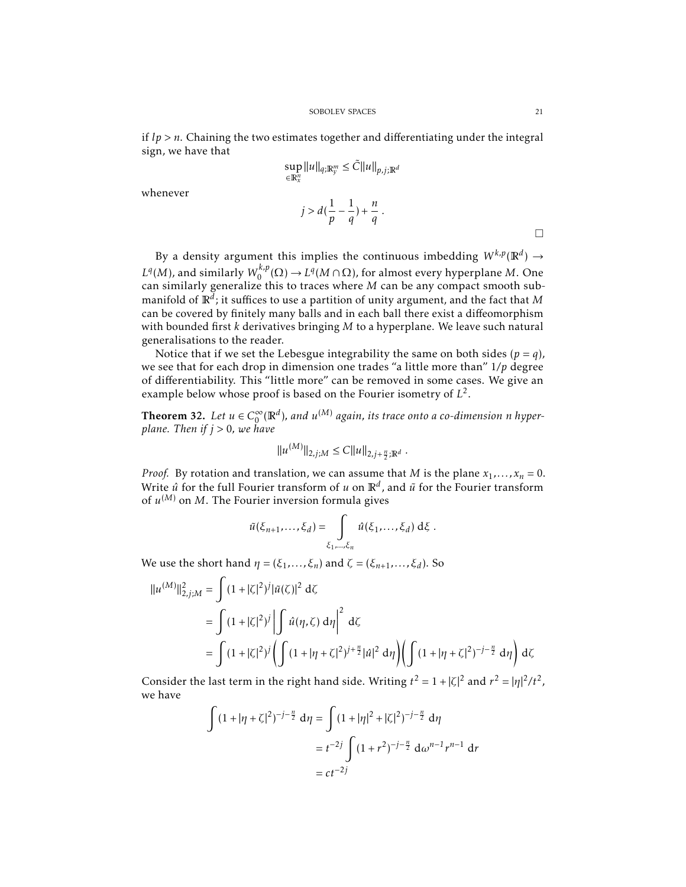if  $lp > n$ . Chaining the two estimates together and differentiating under the integral sign, we have that

whenever

$$
\sup_{\in \mathbb{R}_x^n} ||u||_{q;\mathbb{R}_y^m} \leq \tilde{C} ||u||_{p,j;\mathbb{R}^d}
$$

$$
j > d(\frac{1}{p} - \frac{1}{q}) + \frac{n}{q}.
$$

By a density argument this implies the continuous imbedding  $W^{k,p}(\mathbb{R}^d) \to$  $L^q(M)$ , and similarly  $W^{k,p}_0$  $\chi_0^{k,p}(\Omega) \to L^q(M \cap \Omega)$ , for almost every hyperplane *M*. One can similarly generalize this to traces where *M* can be any compact smooth submanifold of R*<sup>d</sup>* ; it suffices to use a partition of unity argument, and the fact that *M* can be covered by finitely many balls and in each ball there exist a diffeomorphism with bounded first *k* derivatives bringing *M* to a hyperplane. We leave such natural generalisations to the reader.

Notice that if we set the Lebesgue integrability the same on both sides  $(p = q)$ , we see that for each drop in dimension one trades "a little more than" 1*/p* degree of differentiability. This "little more" can be removed in some cases. We give an example below whose proof is based on the Fourier isometry of  $L^2$ .

**Theorem 32.** *Let*  $u \in C_0^\infty$  $_{0}^{\infty}(\mathbb{R}^{d})$ , and  $u^{(M)}$  again, its trace onto a co-dimension  $n$  hyper*plane. Then if j >* 0*, we have*

$$
||u^{(M)}||_{2,j;M} \leq C||u||_{2,j+\frac{n}{2};\mathbb{R}^d}.
$$

*Proof.* By rotation and translation, we can assume that *M* is the plane  $x_1, \ldots, x_n = 0$ . Write  $\hat{u}$  for the full Fourier transform of  $u$  on  $\mathbb{R}^d$ , and  $\tilde{u}$  for the Fourier transform of  $u^{(M)}$  on  $M$ . The Fourier inversion formula gives

$$
\tilde{u}(\xi_{n+1},\ldots,\xi_d)=\int\limits_{\xi_1,\ldots,\xi_n}\hat{u}(\xi_1,\ldots,\xi_d)\,\mathrm{d}\xi\;.
$$

We use the short hand  $\eta = (\xi_1, \ldots, \xi_n)$  and  $\zeta = (\xi_{n+1}, \ldots, \xi_d)$ . So

$$
\|u^{(M)}\|_{2,j;M}^{2} = \int (1+|\zeta|^{2})^{j} |\tilde{u}(\zeta)|^{2} d\zeta
$$
  
= 
$$
\int (1+|\zeta|^{2})^{j} \left| \int \hat{u}(\eta,\zeta) d\eta \right|^{2} d\zeta
$$
  
= 
$$
\int (1+|\zeta|^{2})^{j} \left( \int (1+|\eta+\zeta|^{2})^{j+\frac{n}{2}} |\hat{u}|^{2} d\eta \right) \left( \int (1+|\eta+\zeta|^{2})^{-j-\frac{n}{2}} d\eta \right) d\zeta
$$

Consider the last term in the right hand side. Writing  $t^2 = 1 + |\zeta|^2$  and  $r^2 = |\eta|^2/t^2$ , we have

$$
\int (1+|\eta+\zeta|^2)^{-j-\frac{n}{2}} d\eta = \int (1+|\eta|^2+|\zeta|^2)^{-j-\frac{n}{2}} d\eta
$$
  
=  $t^{-2j} \int (1+r^2)^{-j-\frac{n}{2}} d\omega^{n-1} r^{n-1} dr$   
=  $ct^{-2j}$ 

 $\Box$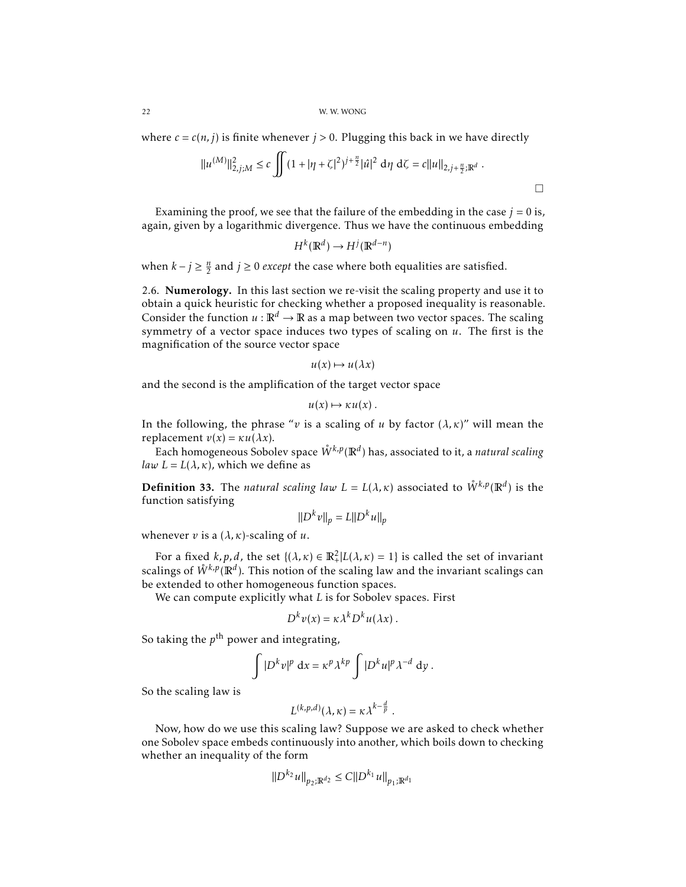where  $c = c(n, j)$  is finite whenever  $j > 0$ . Plugging this back in we have directly

$$
||u^{(M)}||_{2,j;M}^{2} \leq c \iint (1+|\eta+\zeta|^{2})^{j+\frac{n}{2}}|\hat{u}|^{2} d\eta d\zeta = c||u||_{2,j+\frac{n}{2};\mathbb{R}^{d}}.
$$

Examining the proof, we see that the failure of the embedding in the case  $j = 0$  is, again, given by a logarithmic divergence. Thus we have the continuous embedding

$$
H^k(\mathbb{R}^d) \to H^j(\mathbb{R}^{d-n})
$$

when  $k - j \geq \frac{n}{2}$  and  $j \geq 0$  *except* the case where both equalities are satisfied.

<span id="page-21-0"></span>2.6. Numerology. In this last section we re-visit the scaling property and use it to obtain a quick heuristic for checking whether a proposed inequality is reasonable. Consider the function  $u : \mathbb{R}^d \to \mathbb{R}$  as a map between two vector spaces. The scaling symmetry of a vector space induces two types of scaling on *u*. The first is the magnification of the source vector space

$$
u(x) \mapsto u(\lambda x)
$$

and the second is the amplification of the target vector space

$$
u(x) \mapsto \kappa u(x) \, .
$$

In the following, the phrase "*v* is a scaling of *u* by factor  $(\lambda, \kappa)$ " will mean the replacement  $v(x) = \kappa u(\lambda x)$ .

Each homogeneous Sobolev space *W*˚ *k,p*(R*<sup>d</sup>* ) has, associated to it, a *natural scaling law*  $L = L(\lambda, \kappa)$ , which we define as

**Definition 33.** The *natural scaling law*  $L = L(\lambda, \kappa)$  associated to  $\mathring{W}^{k,p}(\mathbb{R}^d)$  is the function satisfying

$$
||D^k v||_p = L||D^k u||_p
$$

whenever *v* is a  $(\lambda, \kappa)$ -scaling of *u*.

For a fixed  $k, p, d$ , the set  $\{(\lambda, \kappa) \in \mathbb{R}^2 | L(\lambda, \kappa) = 1\}$  is called the set of invariant scalings of  $\mathring{W}^{k,p}({\mathbb{R}}^d).$  This notion of the scaling law and the invariant scalings can be extended to other homogeneous function spaces.

We can compute explicitly what *L* is for Sobolev spaces. First

$$
D^k v(x) = \kappa \lambda^k D^k u(\lambda x) .
$$

So taking the  $p^{\text{th}}$  power and integrating,

$$
\int |D^k v|^p \, \mathrm{d}x = \kappa^p \lambda^{kp} \int |D^k u|^p \lambda^{-d} \, \mathrm{d}y \, .
$$

So the scaling law is

$$
L^{(k,p,d)}(\lambda,\kappa)=\kappa\lambda^{k-\frac{d}{p}}.
$$

Now, how do we use this scaling law? Suppose we are asked to check whether one Sobolev space embeds continuously into another, which boils down to checking whether an inequality of the form

$$
||D^{k_2}u||_{p_2;\mathbb{R}^{d_2}} \leq C||D^{k_1}u||_{p_1;\mathbb{R}^{d_1}}
$$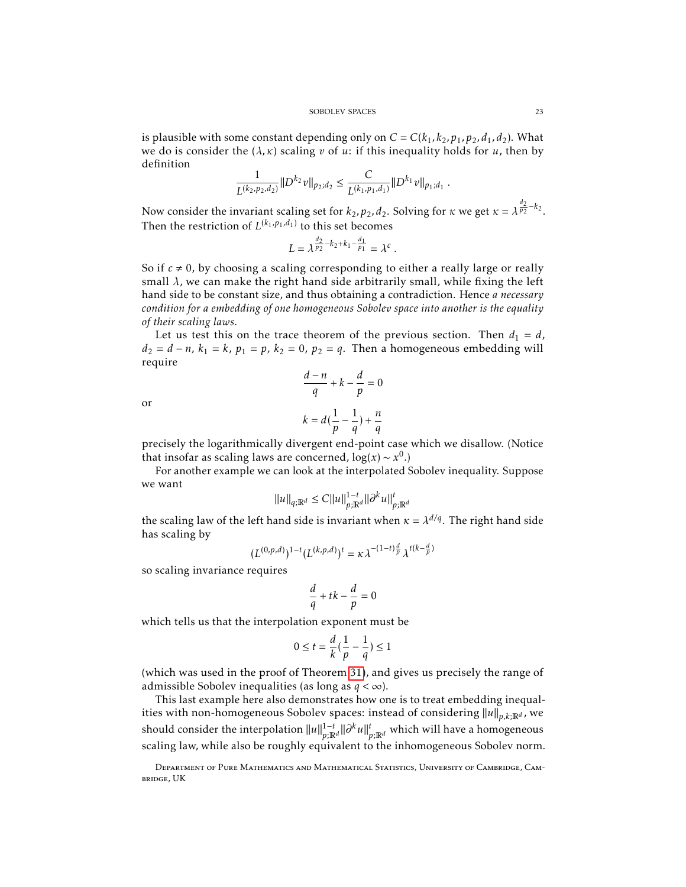is plausible with some constant depending only on  $C = C(k_1, k_2, p_1, p_2, d_1, d_2)$ . What we do is consider the  $(\lambda, \kappa)$  scaling *v* of *u*: if this inequality holds for *u*, then by definition

$$
\frac{1}{L^{(k_2, p_2, d_2)}} \|D^{k_2}v\|_{p_2; d_2} \leq \frac{C}{L^{(k_1, p_1, d_1)}} \|D^{k_1}v\|_{p_1; d_1}.
$$

Now consider the invariant scaling set for  $k_2$ ,  $p_2$ ,  $d_2$ . Solving for  $\kappa$  we get  $\kappa = \lambda^{\frac{d_2}{p_2} - k_2}$ . Then the restriction of  $L^{(k_1,p_1,d_1)}$  to this set becomes

$$
L = \lambda^{\frac{d_2}{p_2} - k_2 + k_1 - \frac{d_1}{p_1}} = \lambda^c.
$$

So if  $c \neq 0$ , by choosing a scaling corresponding to either a really large or really small  $\lambda$ , we can make the right hand side arbitrarily small, while fixing the left hand side to be constant size, and thus obtaining a contradiction. Hence *a necessary condition for a embedding of one homogeneous Sobolev space into another is the equality of their scaling laws*.

Let us test this on the trace theorem of the previous section. Then  $d_1 = d$ , *d*<sub>2</sub> = *d* − *n*, *k*<sub>1</sub> = *k*, *p*<sub>1</sub> = *p*, *k*<sub>2</sub> = 0, *p*<sub>2</sub> = *q*. Then a homogeneous embedding will require

or

$$
\frac{d-n}{q} + k - \frac{d}{p} = 0
$$
  

$$
k = d\left(\frac{1}{p} - \frac{1}{q}\right) + \frac{n}{q}
$$

precisely the logarithmically divergent end-point case which we disallow. (Notice that insofar as scaling laws are concerned,  $\log(x) \sim x^0$ .)

For another example we can look at the interpolated Sobolev inequality. Suppose we want

$$
||u||_{q;\mathbb{R}^d} \le C||u||_{p;\mathbb{R}^d}^{1-t}||\partial^k u||_{p;\mathbb{R}^d}^t
$$

the scaling law of the left hand side is invariant when  $\kappa = \lambda^{d/q}$ . The right hand side has scaling by

$$
(L^{(0,p,d)})^{1-t} (L^{(k,p,d)})^t = \kappa \lambda^{-(1-t)\frac{d}{p}} \lambda^{t(k-\frac{d}{p})}
$$

so scaling invariance requires

$$
\frac{d}{q} + tk - \frac{d}{p} = 0
$$

which tells us that the interpolation exponent must be

$$
0 \le t = \frac{d}{k} \left( \frac{1}{p} - \frac{1}{q} \right) \le 1
$$

(which was used in the proof of Theorem [31\)](#page-19-0), and gives us precisely the range of admissible Sobolev inequalities (as long as *q <* ∞).

This last example here also demonstrates how one is to treat embedding inequalities with non-homogeneous Sobolev spaces: instead of considering  $||u||_{p,k;\mathbb{R}^d}$ , we should consider the interpolation  $||u||_{n,\mathbb{R}}^{1-t}$  $\frac{1-t}{p;\mathbb{R}^d}$ ||∂ $^k u\Vert_{p;\mathbb{R}^d}^t$  which will have a homogeneous scaling law, while also be roughly equivalent to the inhomogeneous Sobolev norm.

Department of Pure Mathematics and Mathematical Statistics, University of Cambridge, Cambridge, UK